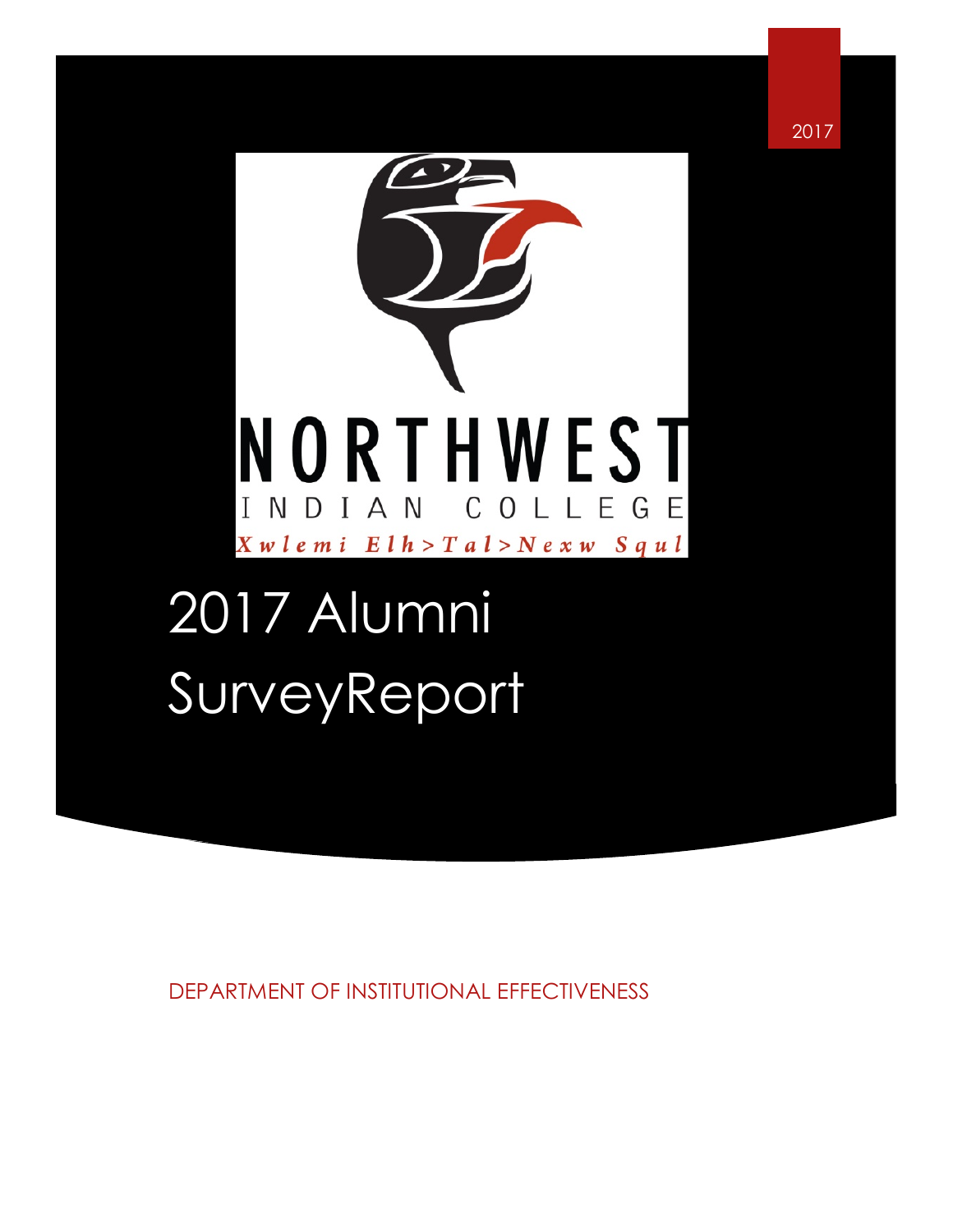

2017

# 2017 Alumni **SurveyReport**

DEPARTMENT OF INSTITUTIONAL EFFECTIVENESS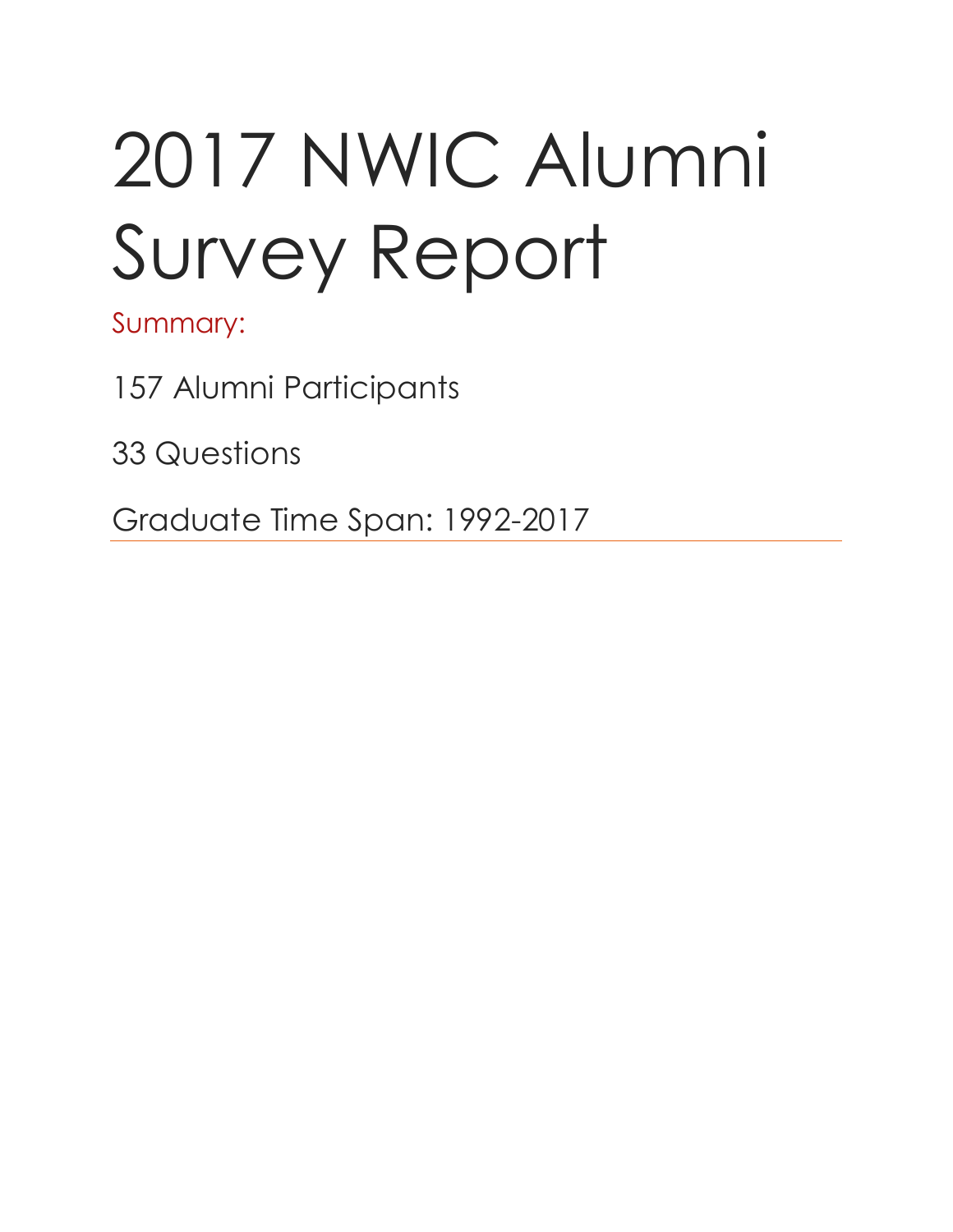# 2017 NWIC Alumni Survey Report

Summary:

157 Alumni Participants

33 Questions

Graduate Time Span: 1992-2017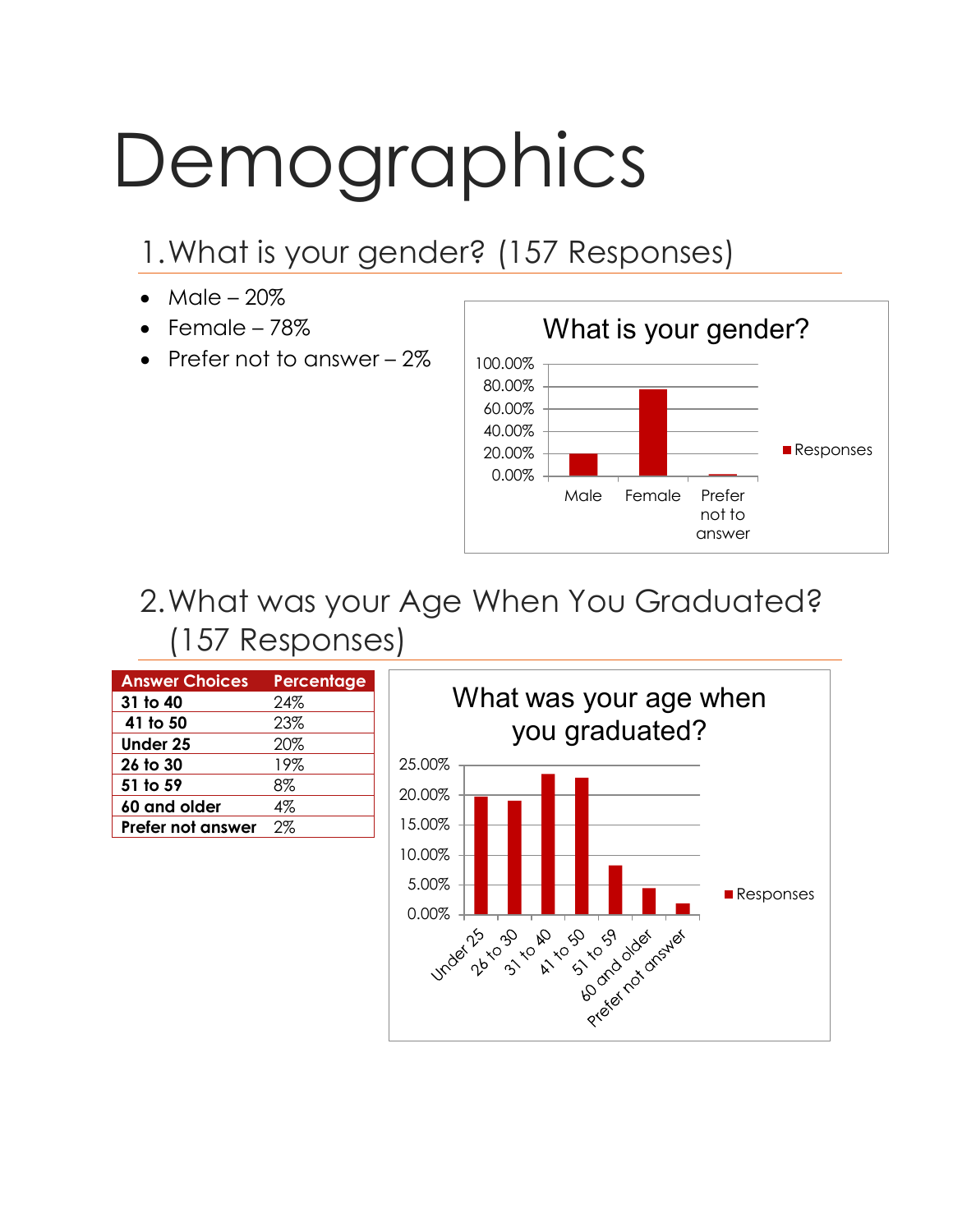# Demographics

# 1.What is your gender? (157 Responses)

- Male  $-20\%$
- $\bullet$  Female 78%
- Prefer not to answer 2%



# 2.What was your Age When You Graduated? (157 Responses)

| <b>Answer Choices</b> | Percentage |
|-----------------------|------------|
| 31 to 40              | 24%        |
| 41 to 50              | 23%        |
| <b>Under 25</b>       | 20%        |
| 26 to 30              | 19%        |
| 51 to 59              | 8%         |
| 60 and older          | 4%         |
| Prefer not answer     | 2%         |

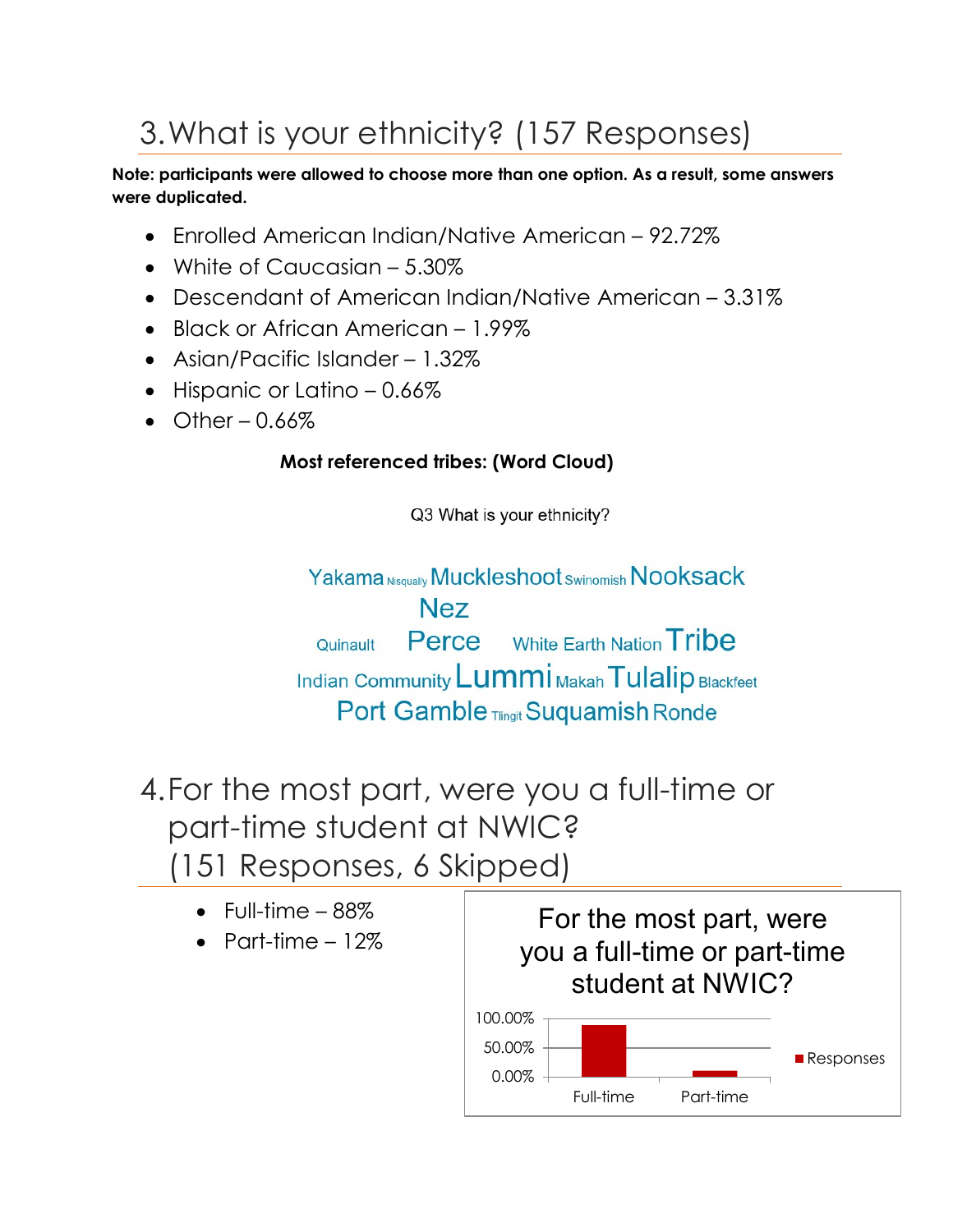# 3.What is your ethnicity? (157 Responses)

**Note: participants were allowed to choose more than one option. As a result, some answers were duplicated.** 

- Enrolled American Indian/Native American 92.72%
- White of Caucasian 5.30%
- Descendant of American Indian/Native American 3.31%
- Black or African American 1.99%
- Asian/Pacific Islander 1.32%
- Hispanic or Latino 0.66%
- Other  $0.66\%$

#### **Most referenced tribes: (Word Cloud)**

Q3 What is your ethnicity?

Yakama Nisqually Muckleshoot Swinomish Nooksack Nez **Perce** White Earth Nation **Tribe** Quinault Indian Community Lummi Makah Tulalip Blackfeet Port Gamble Tlingit Suquamish Ronde

4.For the most part, were you a full-time or part-time student at NWIC? (151 Responses, 6 Skipped)

- $\bullet$  Full-time  $-88\%$
- Part-time  $-12\%$

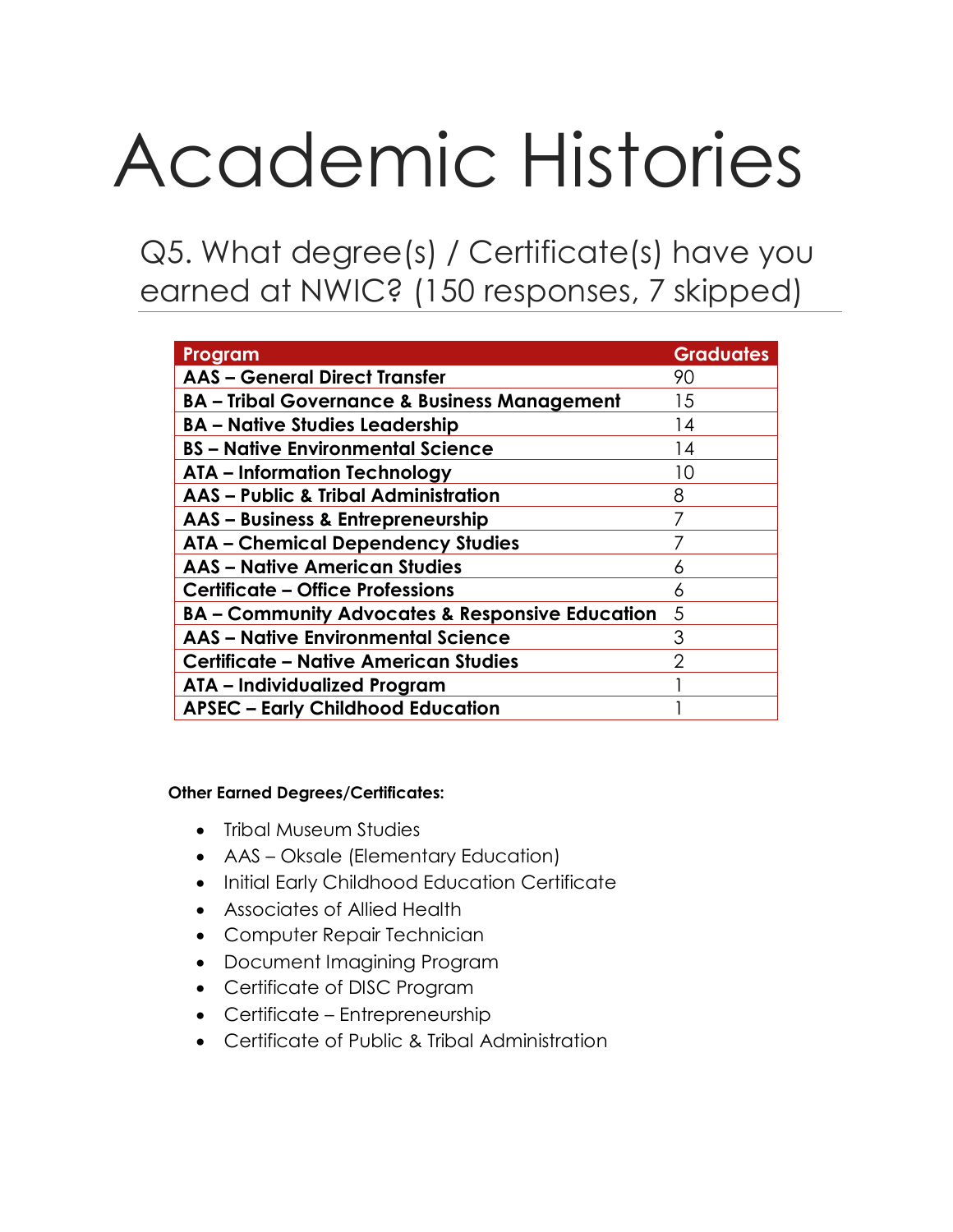# Academic Histories

Q5. What degree(s) / Certificate(s) have you earned at NWIC? (150 responses, 7 skipped)

| Program                                                    | <b>Graduates</b> |
|------------------------------------------------------------|------------------|
| <b>AAS - General Direct Transfer</b>                       | 90               |
| <b>BA - Tribal Governance &amp; Business Management</b>    | 15               |
| <b>BA - Native Studies Leadership</b>                      | 14               |
| <b>BS</b> – Native Environmental Science                   | 14               |
| <b>ATA - Information Technology</b>                        | 10               |
| <b>AAS - Public &amp; Tribal Administration</b>            | 8                |
| AAS - Business & Entrepreneurship                          |                  |
| <b>ATA - Chemical Dependency Studies</b>                   |                  |
| <b>AAS - Native American Studies</b>                       | 6                |
| <b>Certificate - Office Professions</b>                    | 6                |
| <b>BA - Community Advocates &amp; Responsive Education</b> | 5                |
| <b>AAS - Native Environmental Science</b>                  | 3                |
| <b>Certificate - Native American Studies</b>               | っ                |
| ATA - Individualized Program                               |                  |
| <b>APSEC - Early Childhood Education</b>                   |                  |

**Other Earned Degrees/Certificates:**

- Tribal Museum Studies
- AAS Oksale (Elementary Education)
- Initial Early Childhood Education Certificate
- Associates of Allied Health
- Computer Repair Technician
- Document Imagining Program
- Certificate of DISC Program
- Certificate Entrepreneurship
- Certificate of Public & Tribal Administration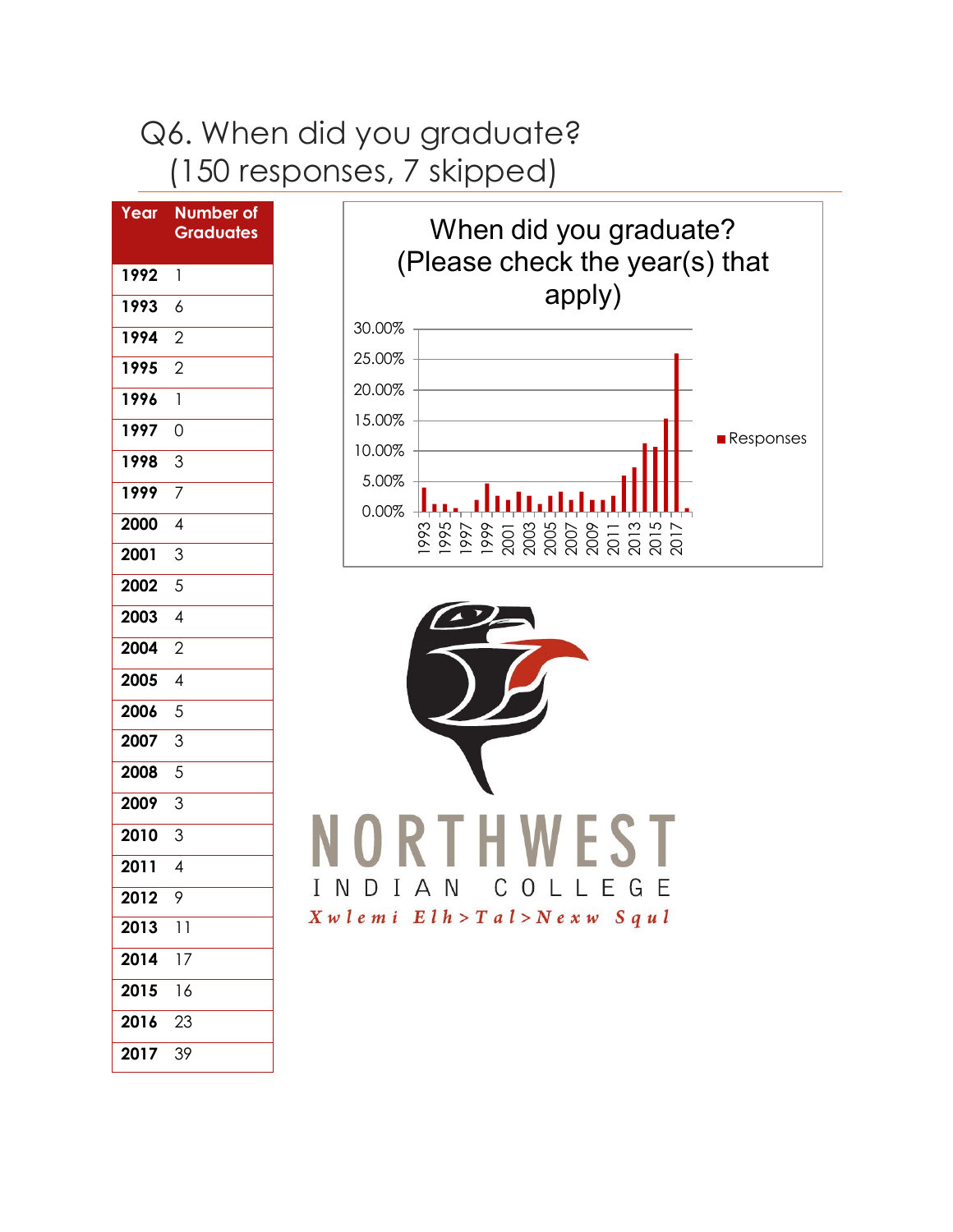# Q6. When did you graduate? (150 responses, 7 skipped)

| Year | <b>Number of</b><br><b>Graduates</b> |
|------|--------------------------------------|
| 1992 | $\overline{1}$                       |
| 1993 | $\ddot{\delta}$                      |
| 1994 | $\overline{2}$                       |
| 1995 | $\overline{2}$                       |
| 1996 | $\mathbf{1}$                         |
| 1997 | 0                                    |
| 1998 | 3                                    |
| 1999 | $\overline{7}$                       |
| 2000 | $\overline{4}$                       |
| 2001 | 3                                    |
| 2002 | 5                                    |
| 2003 | $\overline{4}$                       |
| 2004 | $\overline{2}$                       |
| 2005 | $\overline{4}$                       |
| 2006 | $\overline{5}$                       |
| 2007 | 3                                    |
| 2008 | 5                                    |
| 2009 | $\overline{3}$                       |
| 2010 | 3                                    |
| 2011 | $\overline{4}$                       |
| 2012 | 9                                    |
| 2013 | $\overline{1}$                       |
| 2014 | $\overline{17}$                      |
| 2015 | 16                                   |
| 2016 | 23                                   |
| 2017 | 39                                   |



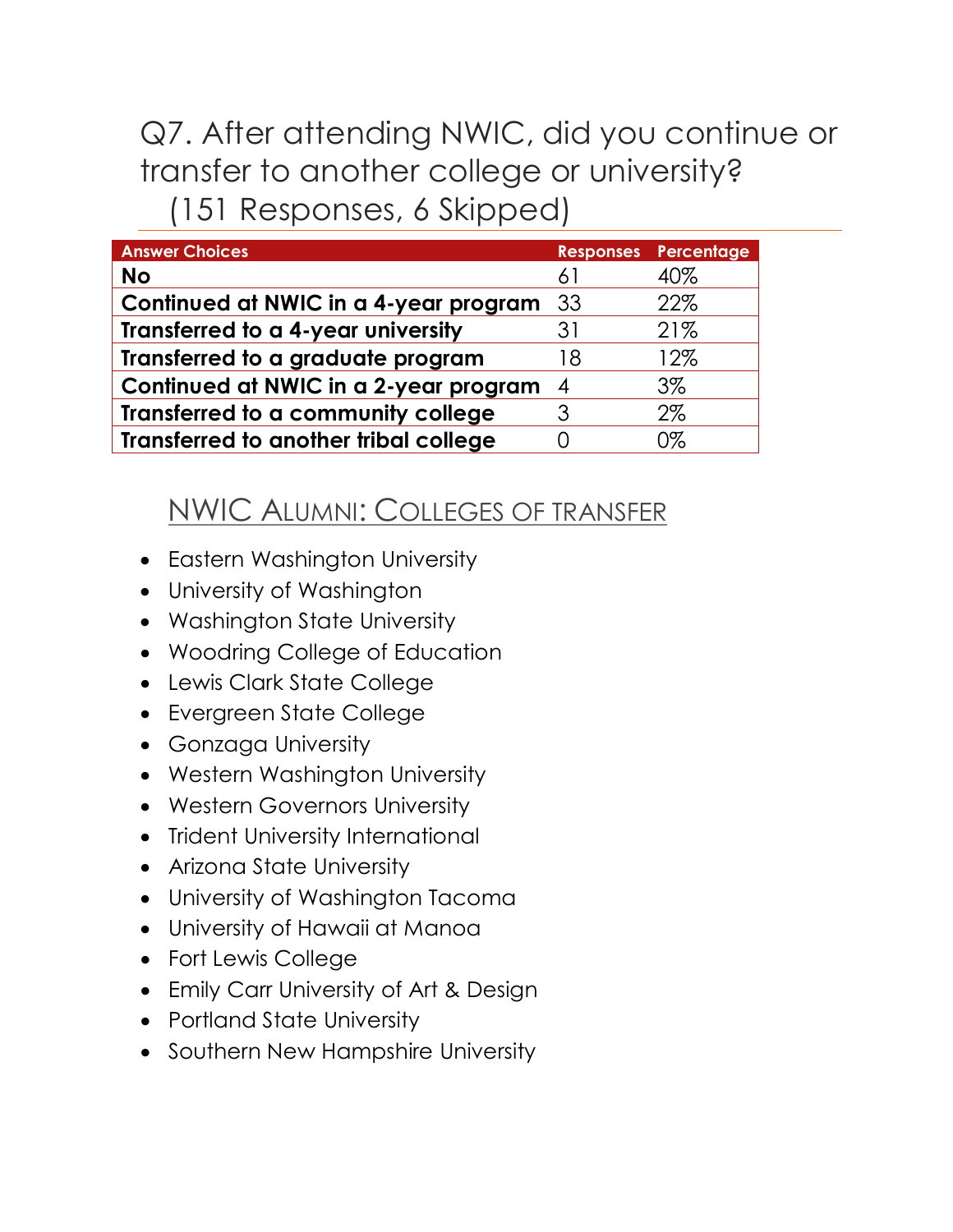# Q7. After attending NWIC, did you continue or transfer to another college or university? (151 Responses, 6 Skipped)

| <b>Answer Choices</b>                 |                | <b>Responses Percentage</b> |
|---------------------------------------|----------------|-----------------------------|
| <b>No</b>                             | 61             | 40%                         |
| Continued at NWIC in a 4-year program | -33            | 22%                         |
| Transferred to a 4-year university    | 31             | 21%                         |
| Transferred to a graduate program     | 18             | 12%                         |
| Continued at NWIC in a 2-year program | $\overline{4}$ | $3\%$                       |
| Transferred to a community college    |                | 2%                          |
| Transferred to another tribal college |                | 0%                          |

## NWIC ALUMNI: COLLEGES OF TRANSFER

- Eastern Washington University
- University of Washington
- Washington State University
- Woodring College of Education
- Lewis Clark State College
- Evergreen State College
- Gonzaga University
- Western Washington University
- Western Governors University
- Trident University International
- Arizona State University
- University of Washington Tacoma
- University of Hawaii at Manoa
- Fort Lewis College
- Emily Carr University of Art & Design
- Portland State University
- Southern New Hampshire University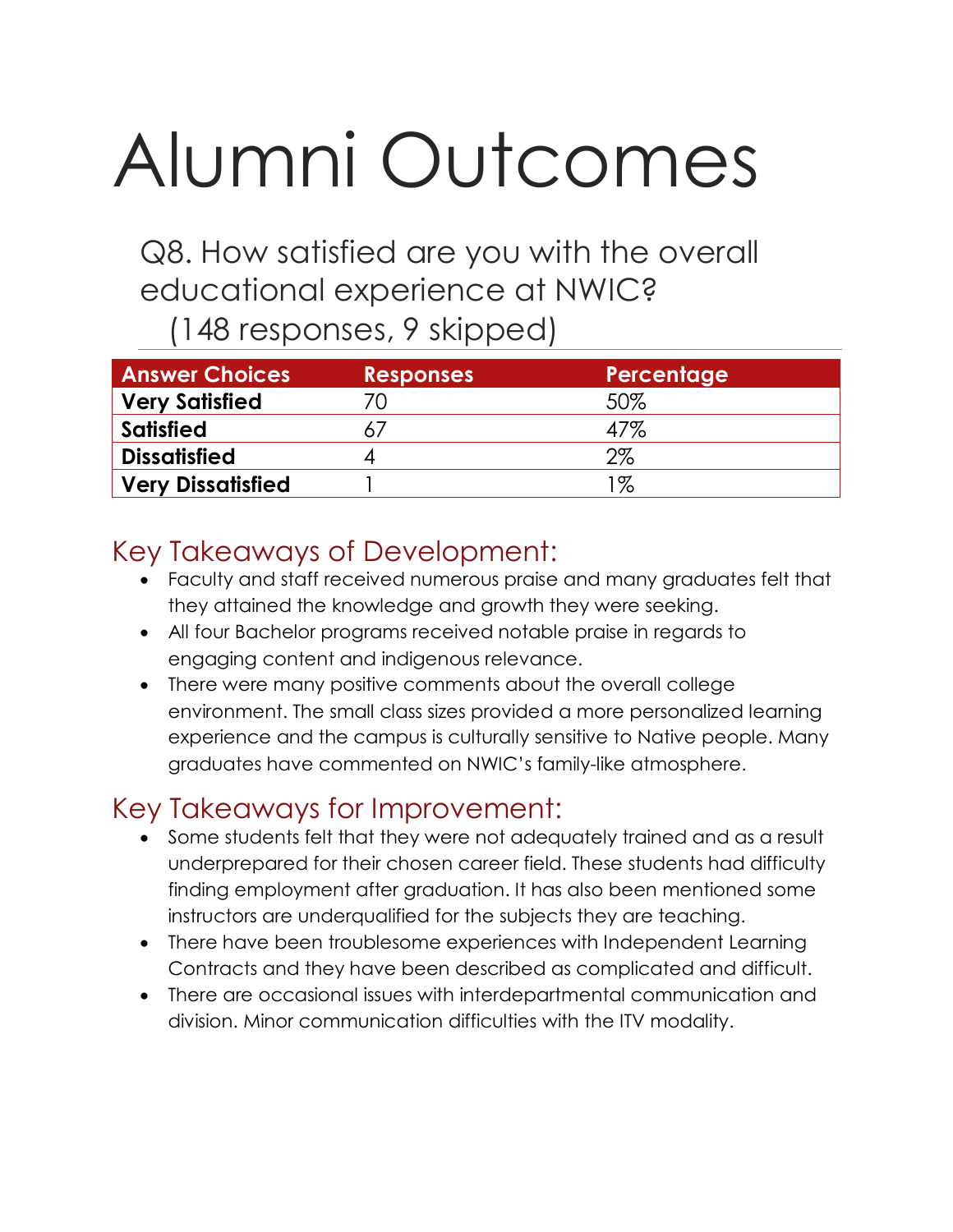# Alumni Outcomes

Q8. How satisfied are you with the overall educational experience at NWIC?

(148 responses, 9 skipped)

| <b>Answer Choices</b>    | <b>Responses</b> | Percentage |
|--------------------------|------------------|------------|
| <b>Very Satisfied</b>    |                  | 50%        |
| <b>Satisfied</b>         |                  | 47%        |
| <b>Dissatisfied</b>      |                  | 2%         |
| <b>Very Dissatisfied</b> |                  | $1\%$      |

## Key Takeaways of Development:

- Faculty and staff received numerous praise and many graduates felt that they attained the knowledge and growth they were seeking.
- All four Bachelor programs received notable praise in regards to engaging content and indigenous relevance.
- There were many positive comments about the overall college environment. The small class sizes provided a more personalized learning experience and the campus is culturally sensitive to Native people. Many graduates have commented on NWIC's family-like atmosphere.

## Key Takeaways for Improvement:

- Some students felt that they were not adequately trained and as a result underprepared for their chosen career field. These students had difficulty finding employment after graduation. It has also been mentioned some instructors are underqualified for the subjects they are teaching.
- There have been troublesome experiences with Independent Learning Contracts and they have been described as complicated and difficult.
- There are occasional issues with interdepartmental communication and division. Minor communication difficulties with the ITV modality.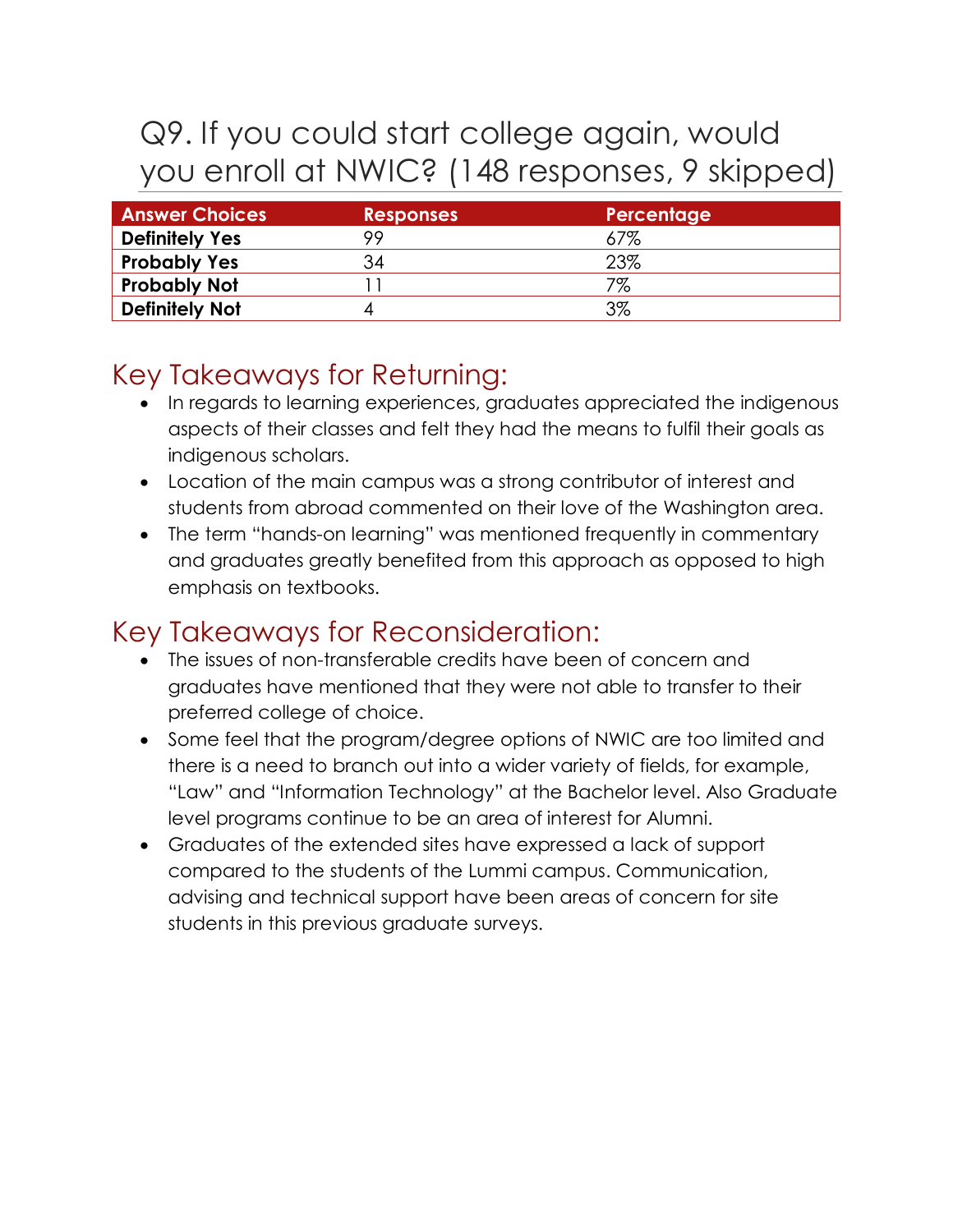# Q9. If you could start college again, would you enroll at NWIC? (148 responses, 9 skipped)

| <b>Answer Choices</b> | <b>Responses</b> | Percentage |
|-----------------------|------------------|------------|
| <b>Definitely Yes</b> | 99               | 67%        |
| <b>Probably Yes</b>   | 34               | 23%        |
| <b>Probably Not</b>   |                  | 7%         |
| <b>Definitely Not</b> |                  | 3%         |

## Key Takeaways for Returning:

- In regards to learning experiences, graduates appreciated the indigenous aspects of their classes and felt they had the means to fulfil their goals as indigenous scholars.
- Location of the main campus was a strong contributor of interest and students from abroad commented on their love of the Washington area.
- The term "hands-on learning" was mentioned frequently in commentary and graduates greatly benefited from this approach as opposed to high emphasis on textbooks.

## Key Takeaways for Reconsideration:

- The issues of non-transferable credits have been of concern and graduates have mentioned that they were not able to transfer to their preferred college of choice.
- Some feel that the program/degree options of NWIC are too limited and there is a need to branch out into a wider variety of fields, for example, "Law" and "Information Technology" at the Bachelor level. Also Graduate level programs continue to be an area of interest for Alumni.
- Graduates of the extended sites have expressed a lack of support compared to the students of the Lummi campus. Communication, advising and technical support have been areas of concern for site students in this previous graduate surveys.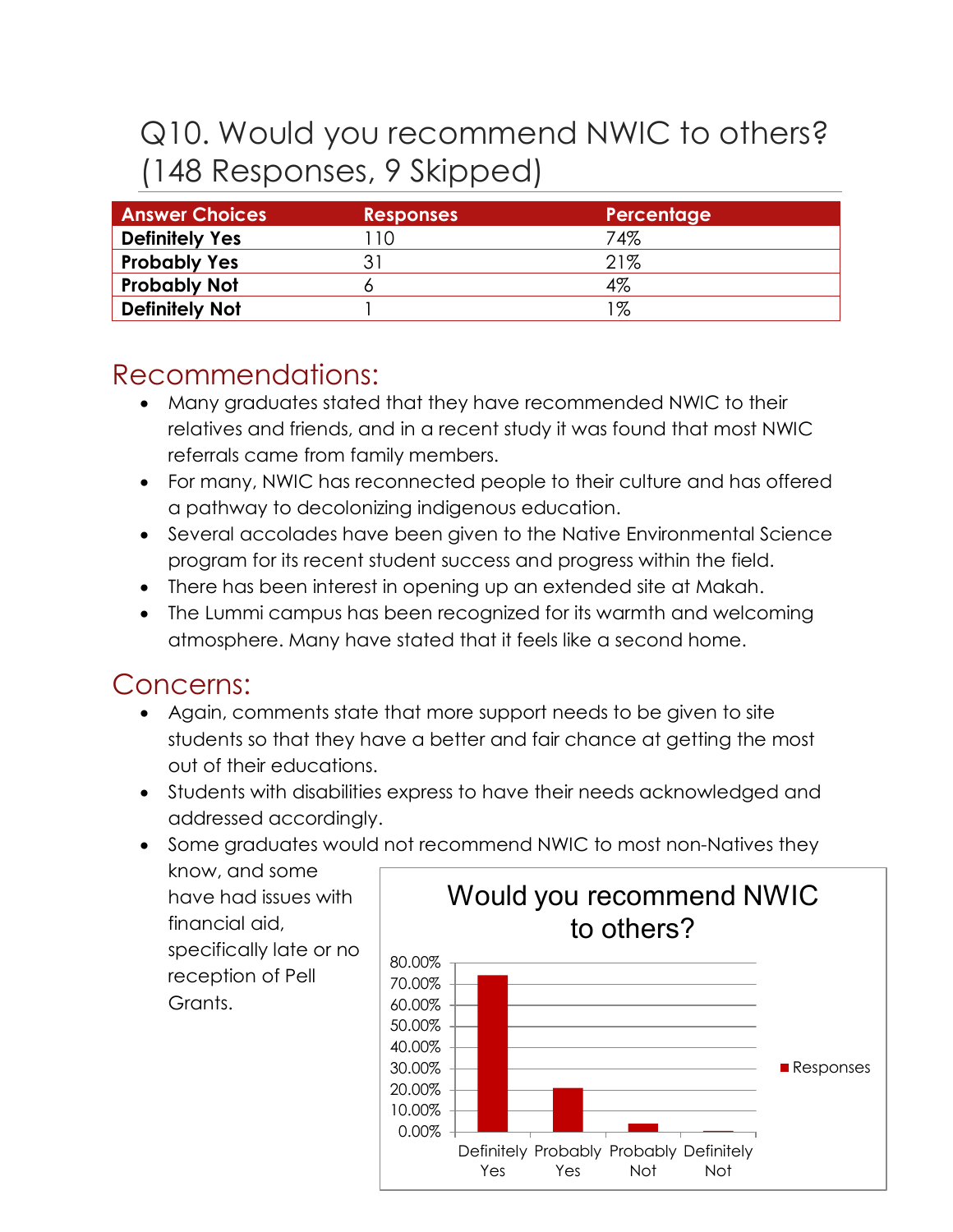# Q10. Would you recommend NWIC to others? (148 Responses, 9 Skipped)

| <b>Answer Choices</b> | <b>Responses</b>            | Percentage |
|-----------------------|-----------------------------|------------|
| <b>Definitely Yes</b> | 10                          | 74%        |
| <b>Probably Yes</b>   | $\mathcal{R}_{\mathcal{A}}$ | 21%        |
| <b>Probably Not</b>   |                             | 4%         |
| <b>Definitely Not</b> |                             | 1%         |

## Recommendations:

- Many graduates stated that they have recommended NWIC to their relatives and friends, and in a recent study it was found that most NWIC referrals came from family members.
- For many, NWIC has reconnected people to their culture and has offered a pathway to decolonizing indigenous education.
- Several accolades have been given to the Native Environmental Science program for its recent student success and progress within the field.
- There has been interest in opening up an extended site at Makah.
- The Lummi campus has been recognized for its warmth and welcoming atmosphere. Many have stated that it feels like a second home.

## Concerns:

- Again, comments state that more support needs to be given to site students so that they have a better and fair chance at getting the most out of their educations.
- Students with disabilities express to have their needs acknowledged and addressed accordingly.
- Some graduates would not recommend NWIC to most non-Natives they

know, and some have had issues with financial aid, specifically late or no reception of Pell Grants.

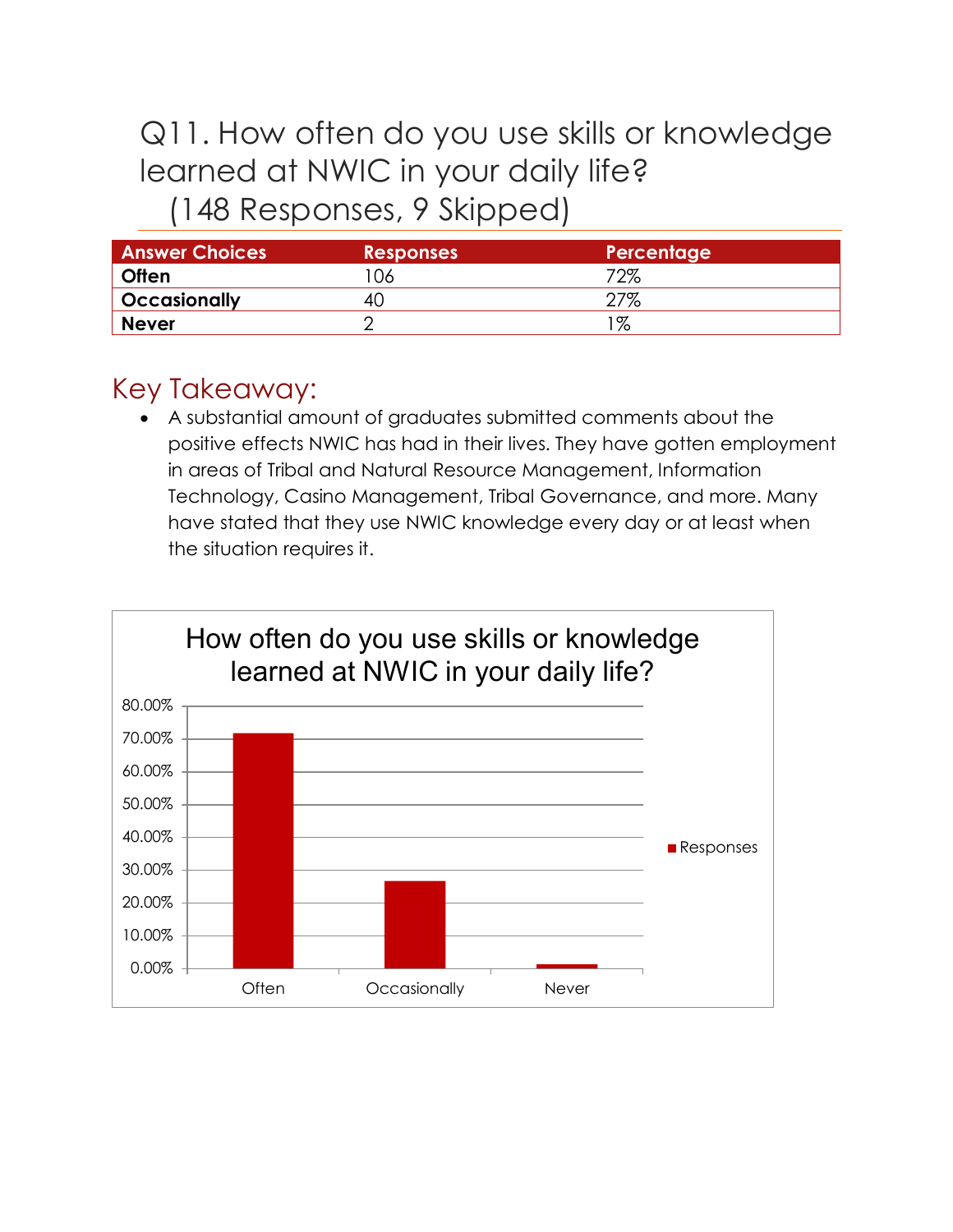## Q11. How often do you use skills or knowledge learned at NWIC in your daily life? (148 Responses, 9 Skipped)

| <b>Answer Choices</b> | <b>Responses</b> | Percentage |
|-----------------------|------------------|------------|
| <b>Often</b>          | 06               | 72%        |
| <b>Occasionally</b>   | 40               | $27\%$     |
| <b>Never</b>          |                  | %          |

## Key Takeaway:

• A substantial amount of graduates submitted comments about the positive effects NWIC has had in their lives. They have gotten employment in areas of Tribal and Natural Resource Management, Information Technology, Casino Management, Tribal Governance, and more. Many have stated that they use NWIC knowledge every day or at least when the situation requires it.

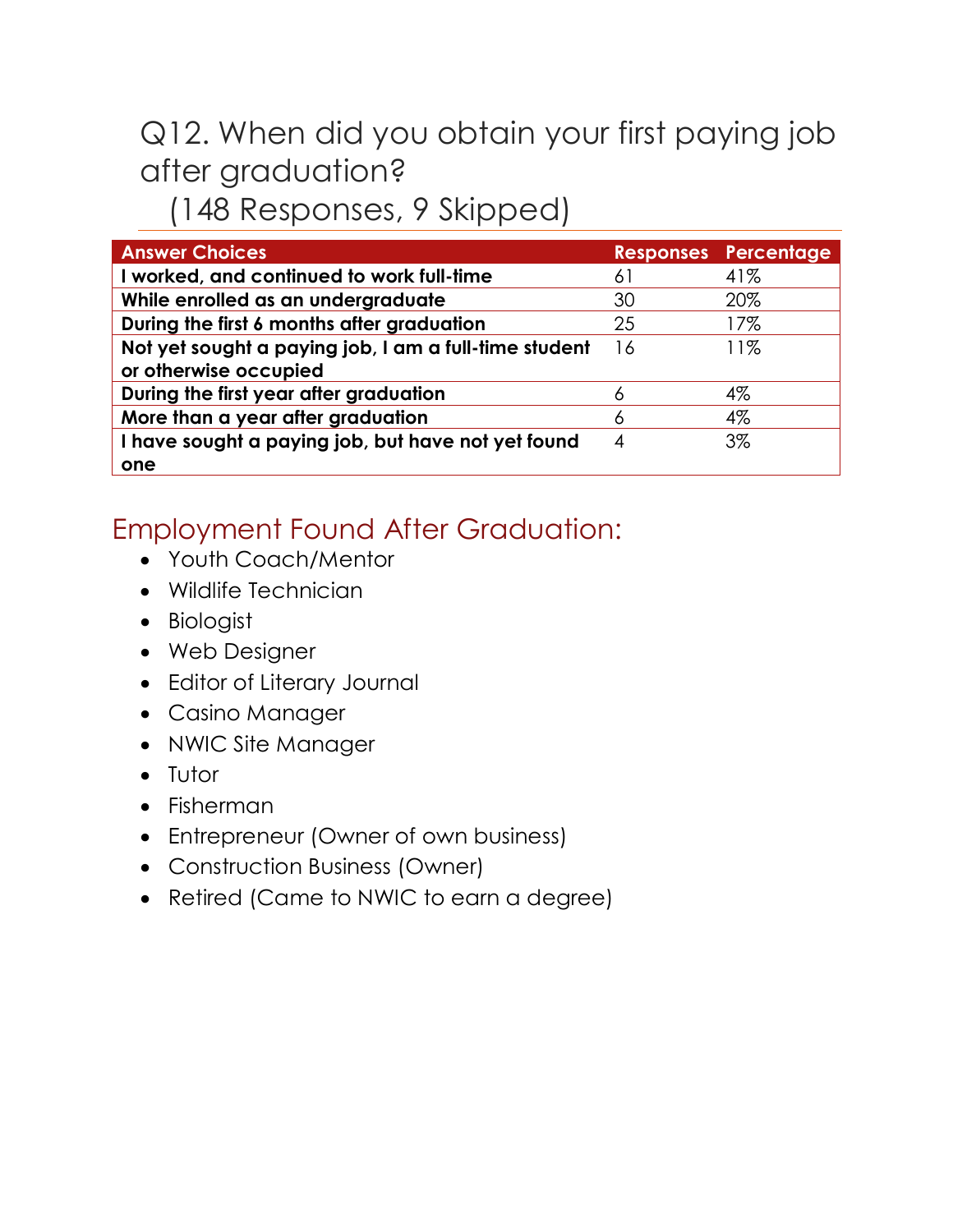# Q12. When did you obtain your first paying job after graduation?

## (148 Responses, 9 Skipped)

| <b>Answer Choices</b>                                 |    | <b>Responses Percentage</b> |
|-------------------------------------------------------|----|-----------------------------|
| I worked, and continued to work full-time             | 61 | 41%                         |
| While enrolled as an undergraduate                    | 30 | 20%                         |
| During the first 6 months after graduation            | 25 | 17%                         |
| Not yet sought a paying job, I am a full-time student | 16 | 11%                         |
| or otherwise occupied                                 |    |                             |
| During the first year after graduation                | Α  | $4\%$                       |
| More than a year after graduation                     |    | 4%                          |
| I have sought a paying job, but have not yet found    | 4  | $3\%$                       |
| one                                                   |    |                             |

## Employment Found After Graduation:

- Youth Coach/Mentor
- Wildlife Technician
- Biologist
- Web Designer
- Editor of Literary Journal
- Casino Manager
- NWIC Site Manager
- Tutor
- Fisherman
- Entrepreneur (Owner of own business)
- Construction Business (Owner)
- Retired (Came to NWIC to earn a degree)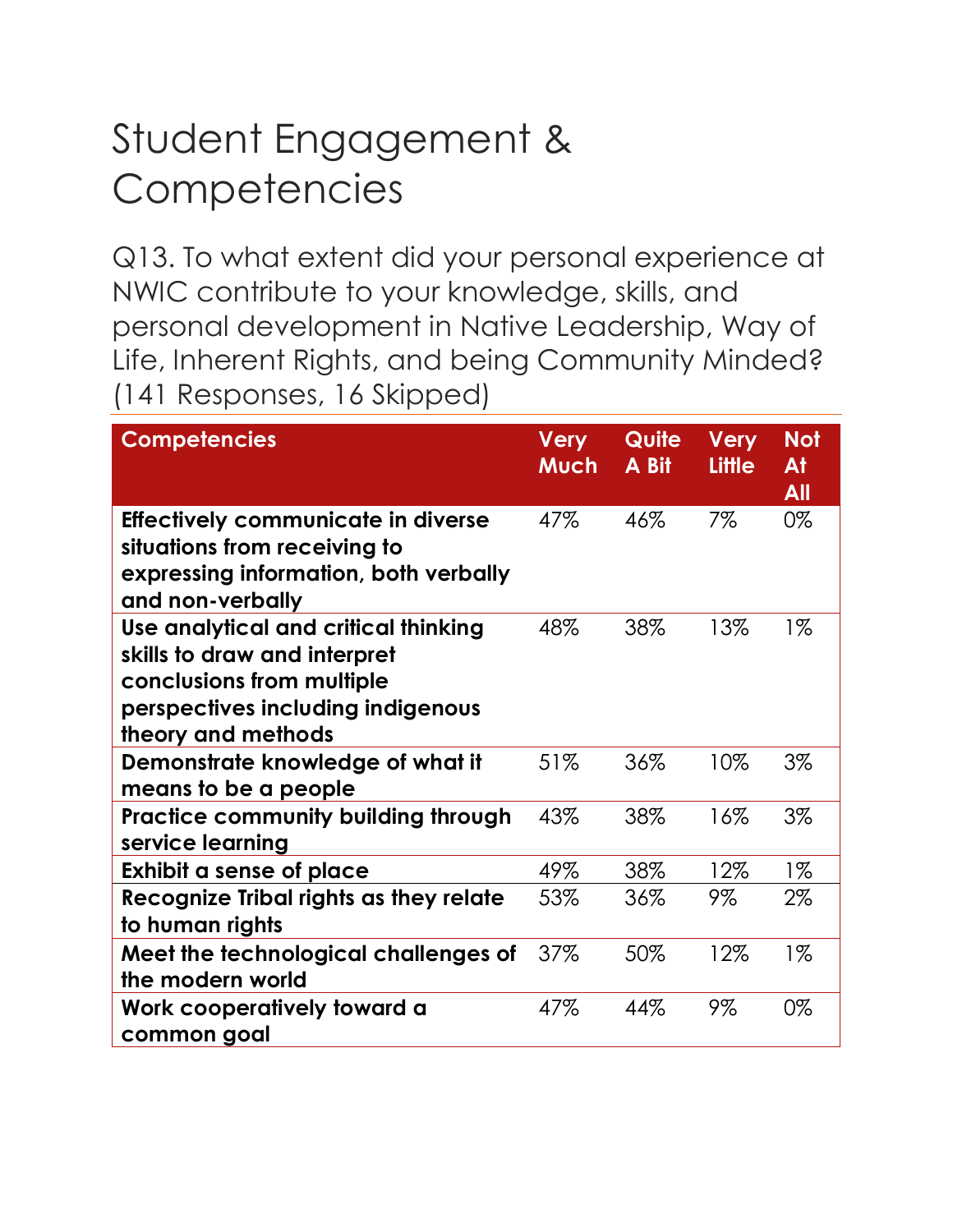# Student Engagement & **Competencies**

Q13. To what extent did your personal experience at NWIC contribute to your knowledge, skills, and personal development in Native Leadership, Way of Life, Inherent Rights, and being Community Minded? (141 Responses, 16 Skipped)

| <b>Competencies</b>                                                                                                                                          | <b>Very</b><br>Much | Quite<br>A Bit | <b>Very</b><br>Little | <b>Not</b><br>At<br>All |
|--------------------------------------------------------------------------------------------------------------------------------------------------------------|---------------------|----------------|-----------------------|-------------------------|
| Effectively communicate in diverse<br>situations from receiving to<br>expressing information, both verbally<br>and non-verbally                              | 47%                 | 46%            | 7%                    | 0%                      |
| Use analytical and critical thinking<br>skills to draw and interpret<br>conclusions from multiple<br>perspectives including indigenous<br>theory and methods | 48%                 | 38%            | 13%                   | $1\%$                   |
| Demonstrate knowledge of what it<br>means to be a people                                                                                                     | 51%                 | 36%            | 10%                   | $3\%$                   |
| <b>Practice community building through</b><br>service learning                                                                                               | 43%                 | 38%            | 16%                   | $3\%$                   |
| Exhibit a sense of place                                                                                                                                     | 49%                 | 38%            | 12%                   | $1\%$                   |
| Recognize Tribal rights as they relate<br>to human rights                                                                                                    | 53%                 | 36%            | 9%                    | 2%                      |
| Meet the technological challenges of<br>the modern world                                                                                                     | 37%                 | 50%            | 12%                   | $1\%$                   |
| Work cooperatively toward a<br>common goal                                                                                                                   | 47%                 | 44%            | 9%                    | 0%                      |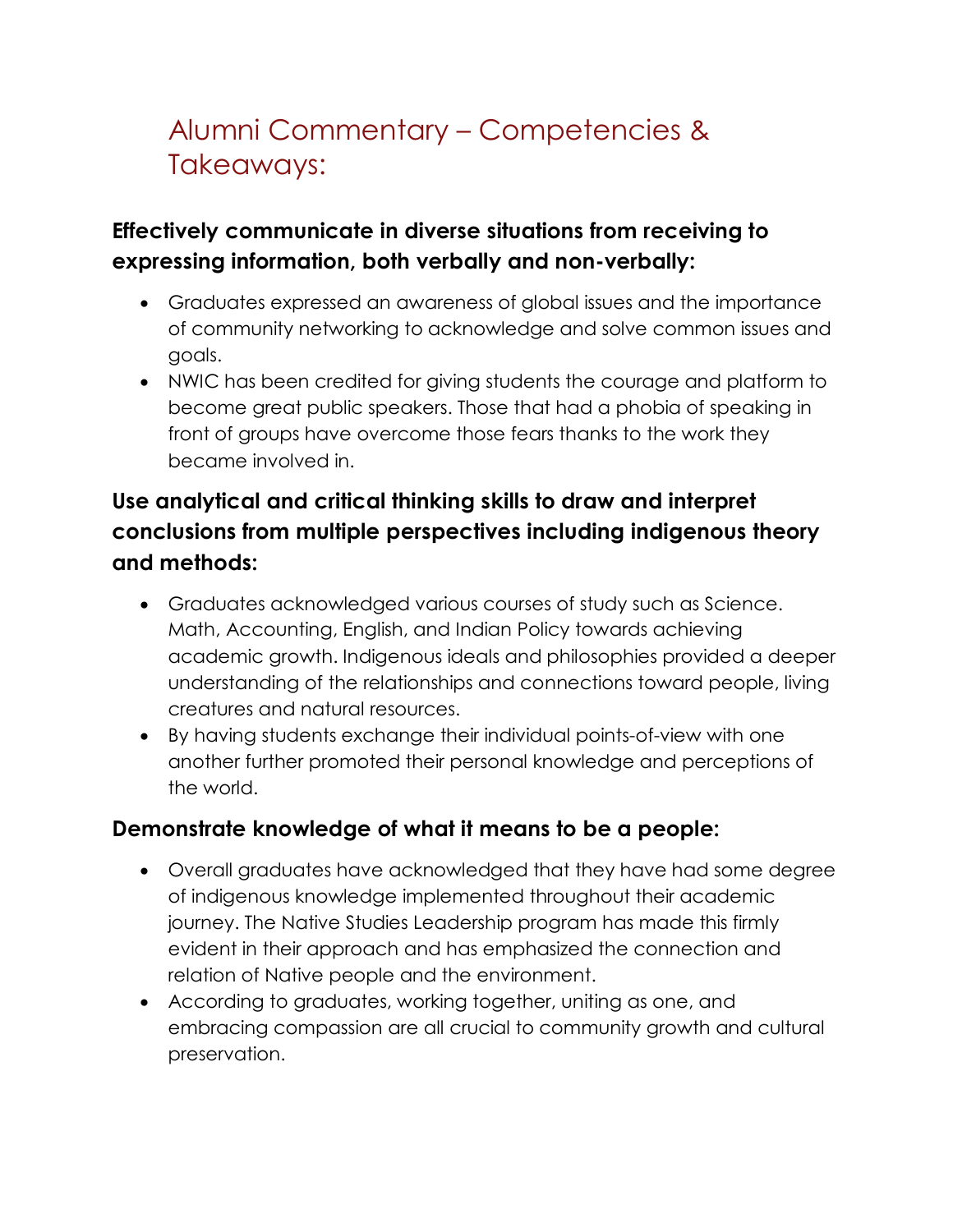## Alumni Commentary – Competencies & Takeaways:

#### **Effectively communicate in diverse situations from receiving to expressing information, both verbally and non-verbally:**

- Graduates expressed an awareness of global issues and the importance of community networking to acknowledge and solve common issues and goals.
- NWIC has been credited for giving students the courage and platform to become great public speakers. Those that had a phobia of speaking in front of groups have overcome those fears thanks to the work they became involved in.

#### **Use analytical and critical thinking skills to draw and interpret conclusions from multiple perspectives including indigenous theory and methods:**

- Graduates acknowledged various courses of study such as Science. Math, Accounting, English, and Indian Policy towards achieving academic growth. Indigenous ideals and philosophies provided a deeper understanding of the relationships and connections toward people, living creatures and natural resources.
- By having students exchange their individual points-of-view with one another further promoted their personal knowledge and perceptions of the world.

#### **Demonstrate knowledge of what it means to be a people:**

- Overall graduates have acknowledged that they have had some degree of indigenous knowledge implemented throughout their academic journey. The Native Studies Leadership program has made this firmly evident in their approach and has emphasized the connection and relation of Native people and the environment.
- According to graduates, working together, uniting as one, and embracing compassion are all crucial to community growth and cultural preservation.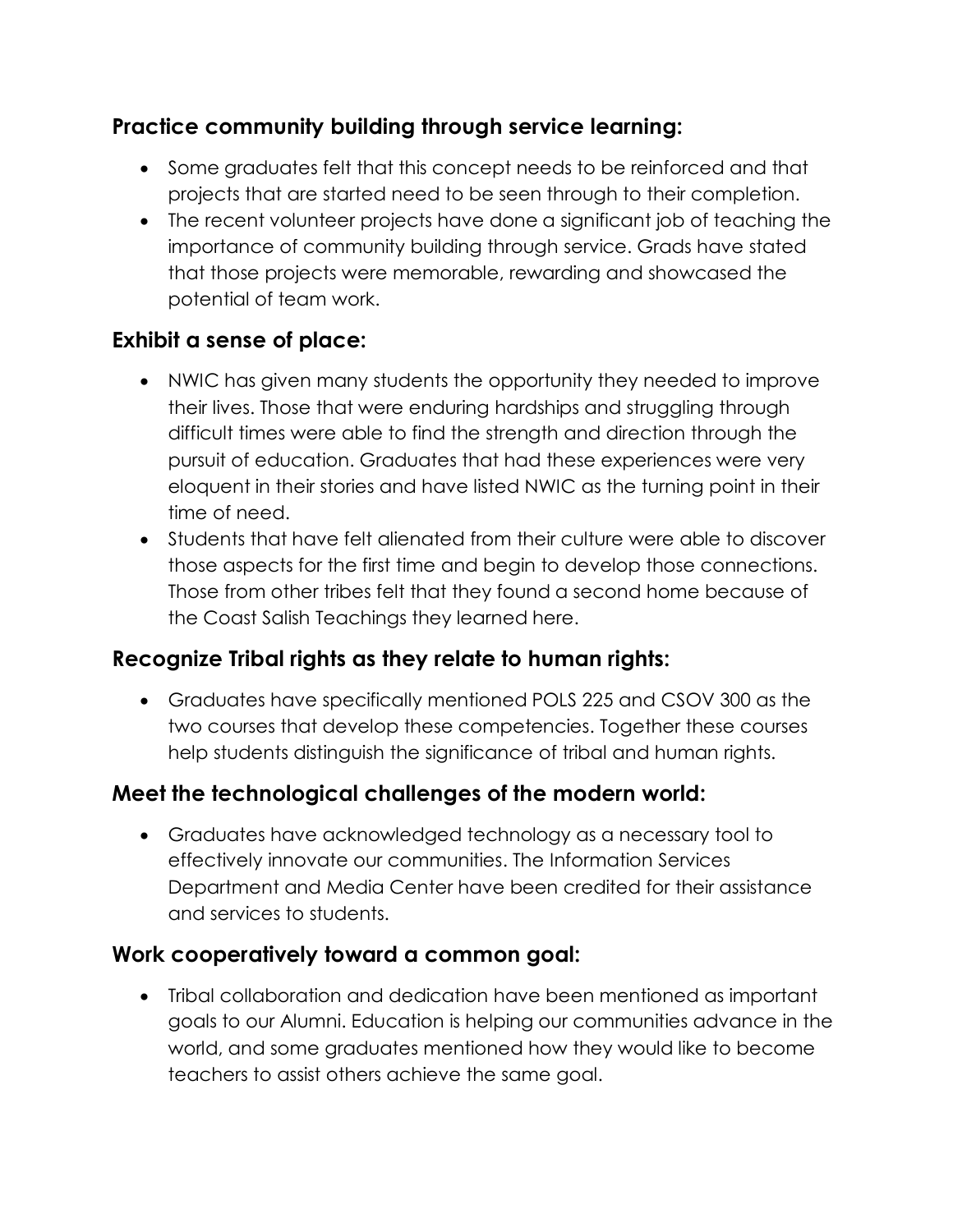#### **Practice community building through service learning:**

- Some graduates felt that this concept needs to be reinforced and that projects that are started need to be seen through to their completion.
- The recent volunteer projects have done a significant job of teaching the importance of community building through service. Grads have stated that those projects were memorable, rewarding and showcased the potential of team work.

#### **Exhibit a sense of place:**

- NWIC has given many students the opportunity they needed to improve their lives. Those that were enduring hardships and struggling through difficult times were able to find the strength and direction through the pursuit of education. Graduates that had these experiences were very eloquent in their stories and have listed NWIC as the turning point in their time of need.
- Students that have felt alienated from their culture were able to discover those aspects for the first time and begin to develop those connections. Those from other tribes felt that they found a second home because of the Coast Salish Teachings they learned here.

#### **Recognize Tribal rights as they relate to human rights:**

• Graduates have specifically mentioned POLS 225 and CSOV 300 as the two courses that develop these competencies. Together these courses help students distinguish the significance of tribal and human rights.

#### **Meet the technological challenges of the modern world:**

• Graduates have acknowledged technology as a necessary tool to effectively innovate our communities. The Information Services Department and Media Center have been credited for their assistance and services to students.

#### **Work cooperatively toward a common goal:**

• Tribal collaboration and dedication have been mentioned as important goals to our Alumni. Education is helping our communities advance in the world, and some graduates mentioned how they would like to become teachers to assist others achieve the same goal.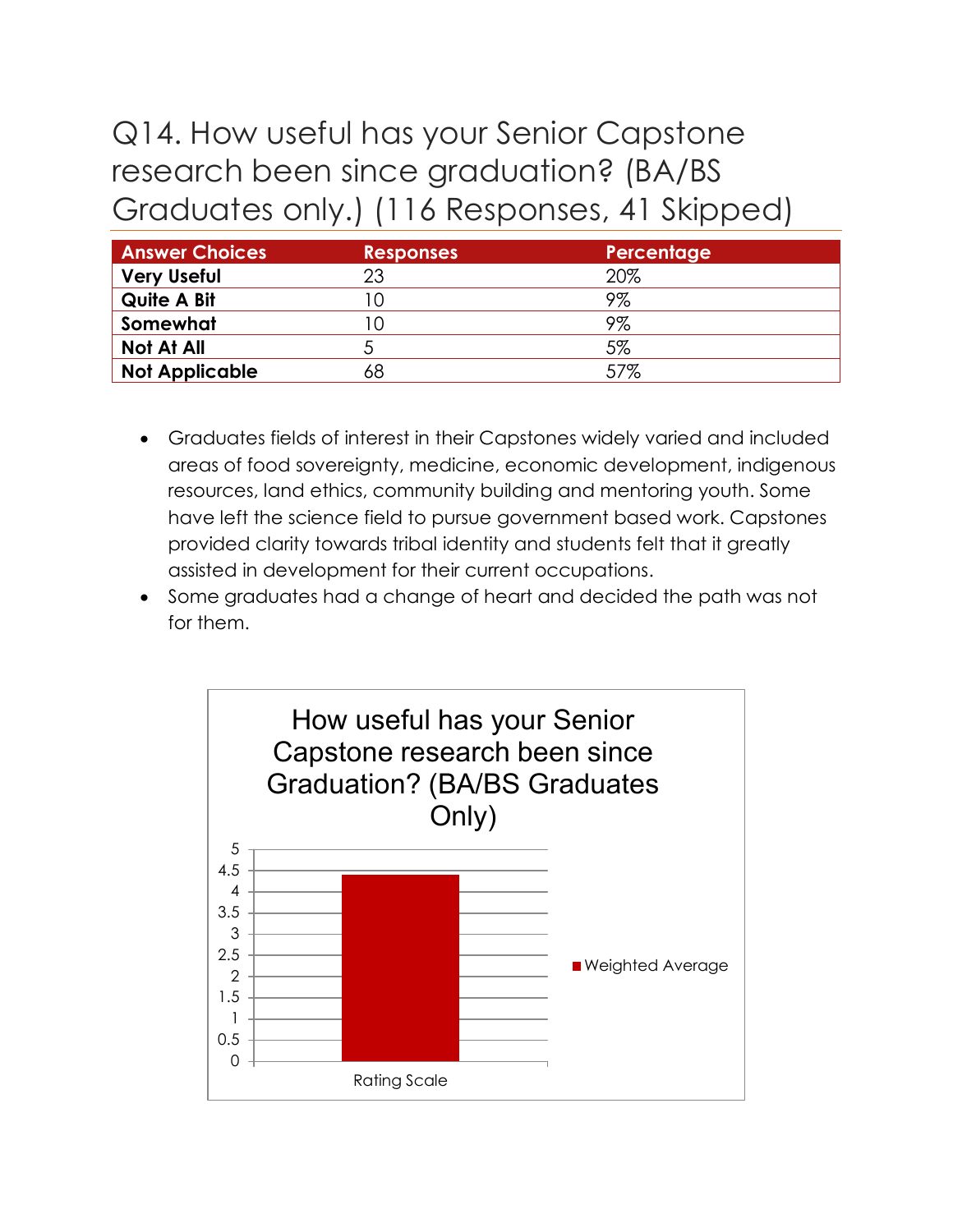# Q14. How useful has your Senior Capstone research been since graduation? (BA/BS Graduates only.) (116 Responses, 41 Skipped)

| <b>Answer Choices</b> | <b>Responses</b> | Percentage |
|-----------------------|------------------|------------|
| <b>Very Useful</b>    | 23               | 20%        |
| <b>Quite A Bit</b>    |                  | 9%         |
| Somewhat              |                  | 9%         |
| Not At All            |                  | 5%         |
| <b>Not Applicable</b> | 68               | 57%        |

- Graduates fields of interest in their Capstones widely varied and included areas of food sovereignty, medicine, economic development, indigenous resources, land ethics, community building and mentoring youth. Some have left the science field to pursue government based work. Capstones provided clarity towards tribal identity and students felt that it greatly assisted in development for their current occupations.
- Some graduates had a change of heart and decided the path was not for them.

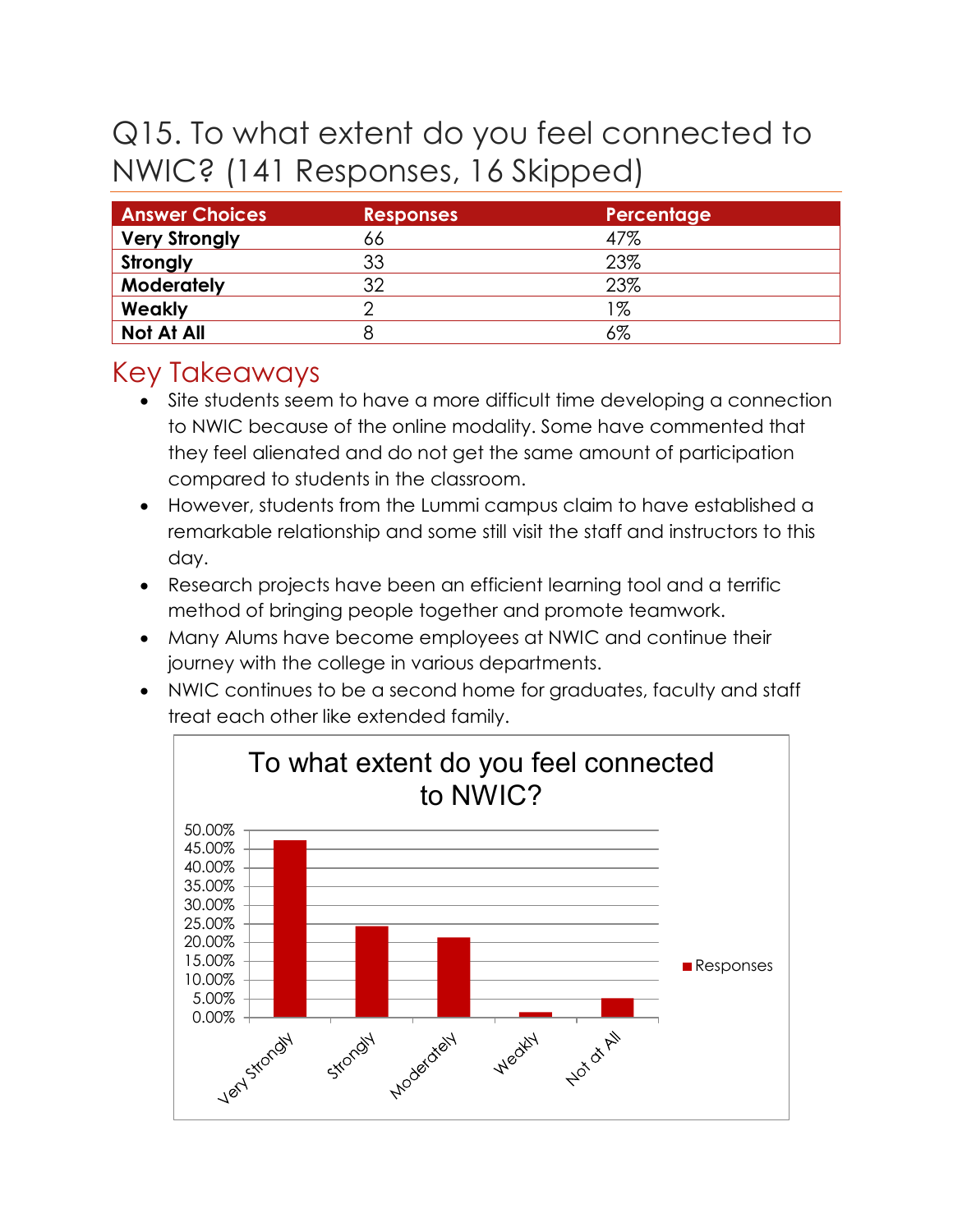# Q15. To what extent do you feel connected to NWIC? (141 Responses, 16 Skipped)

| <b>Answer Choices</b> | <b>Responses</b> | Percentage |
|-----------------------|------------------|------------|
| <b>Very Strongly</b>  | 66               | 47%        |
| Strongly              | 33               | 23%        |
| <b>Moderately</b>     | つ                | 23%        |
| Weakly                |                  | 1%         |
| Not At All            |                  | 6%         |

- Site students seem to have a more difficult time developing a connection to NWIC because of the online modality. Some have commented that they feel alienated and do not get the same amount of participation compared to students in the classroom.
- However, students from the Lummi campus claim to have established a remarkable relationship and some still visit the staff and instructors to this day.
- Research projects have been an efficient learning tool and a terrific method of bringing people together and promote teamwork.
- Many Alums have become employees at NWIC and continue their journey with the college in various departments.
- NWIC continues to be a second home for graduates, faculty and staff treat each other like extended family.

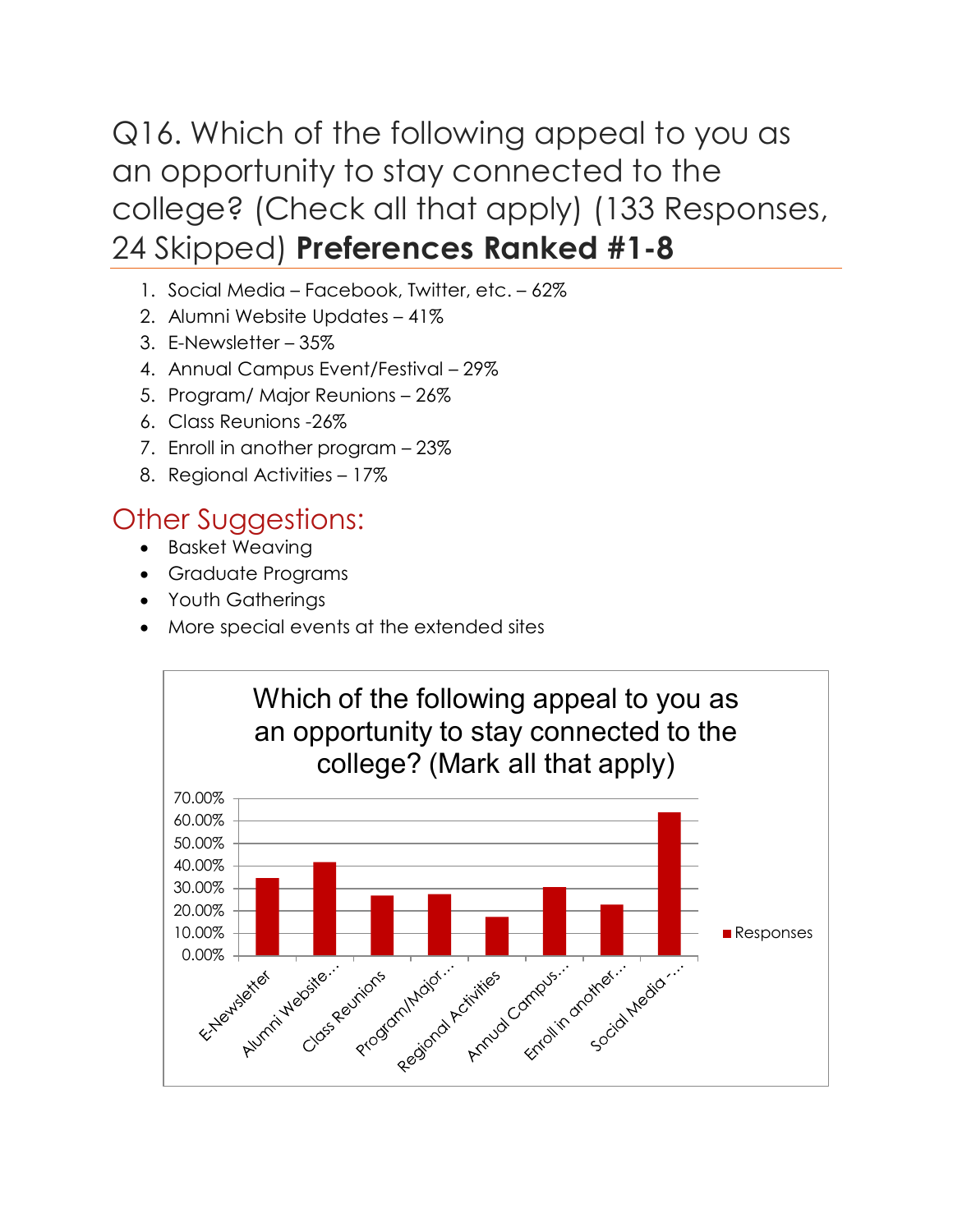## Q16. Which of the following appeal to you as an opportunity to stay connected to the college? (Check all that apply) (133 Responses, 24 Skipped) **Preferences Ranked #1-8**

- 1. Social Media Facebook, Twitter, etc. 62%
- 2. Alumni Website Updates 41%
- 3. E-Newsletter 35%
- 4. Annual Campus Event/Festival 29%
- 5. Program/ Major Reunions 26%
- 6. Class Reunions -26%
- 7. Enroll in another program 23%
- 8. Regional Activities 17%

## Other Suggestions:

- Basket Weaving
- Graduate Programs
- Youth Gatherings
- More special events at the extended sites

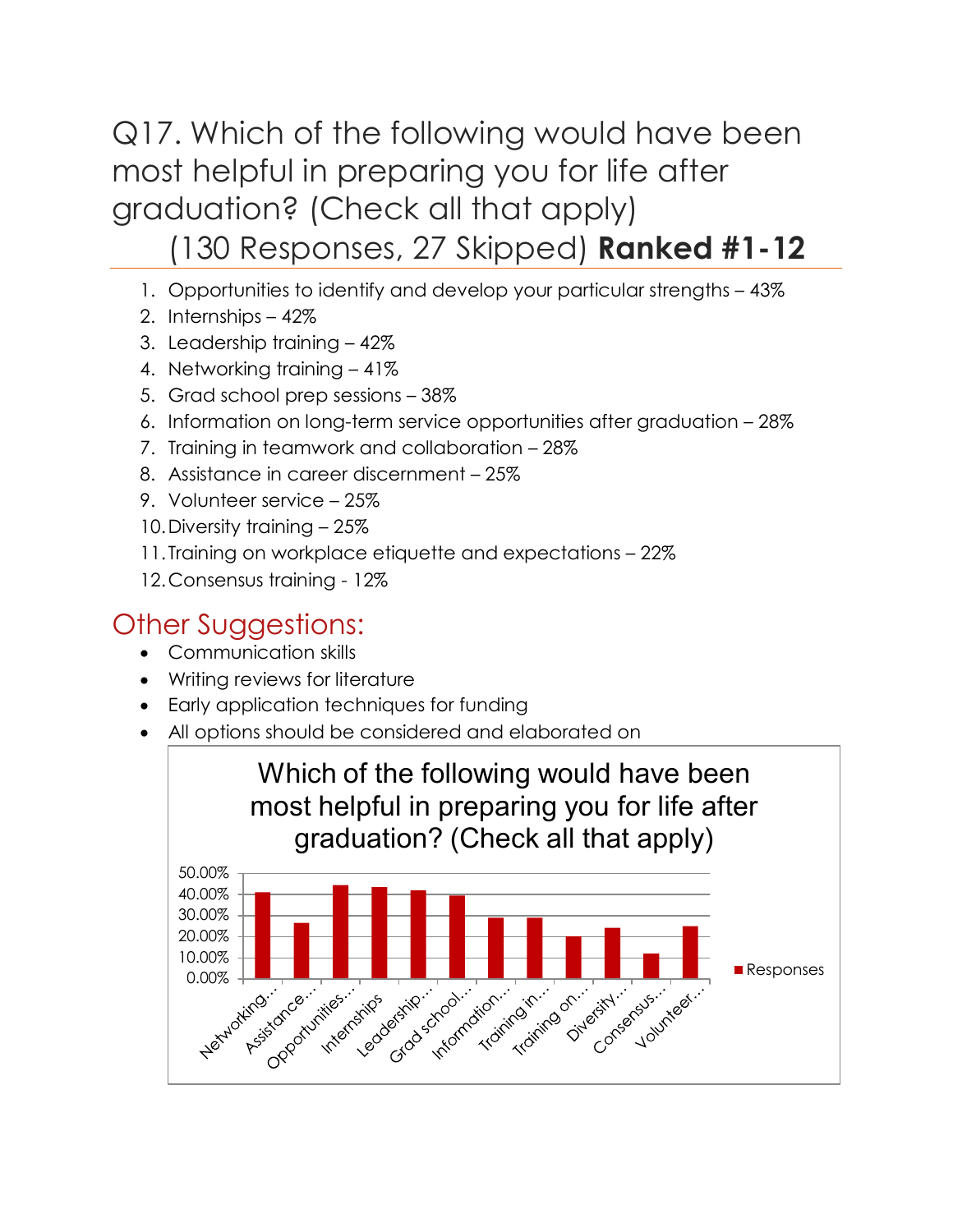Q17. Which of the following would have been most helpful in preparing you for life after graduation? (Check all that apply)

## (130 Responses, 27 Skipped) **Ranked #1-12**

- 1. Opportunities to identify and develop your particular strengths 43%
- 2. Internships 42%
- 3. Leadership training 42%
- 4. Networking training 41%
- 5. Grad school prep sessions 38%
- 6. Information on long-term service opportunities after graduation 28%
- 7. Training in teamwork and collaboration 28%
- 8. Assistance in career discernment 25%
- 9. Volunteer service 25%
- 10.Diversity training 25%
- 11.Training on workplace etiquette and expectations 22%
- 12.Consensus training 12%

## Other Suggestions:

- Communication skills
- Writing reviews for literature
- Early application techniques for funding
- All options should be considered and elaborated on

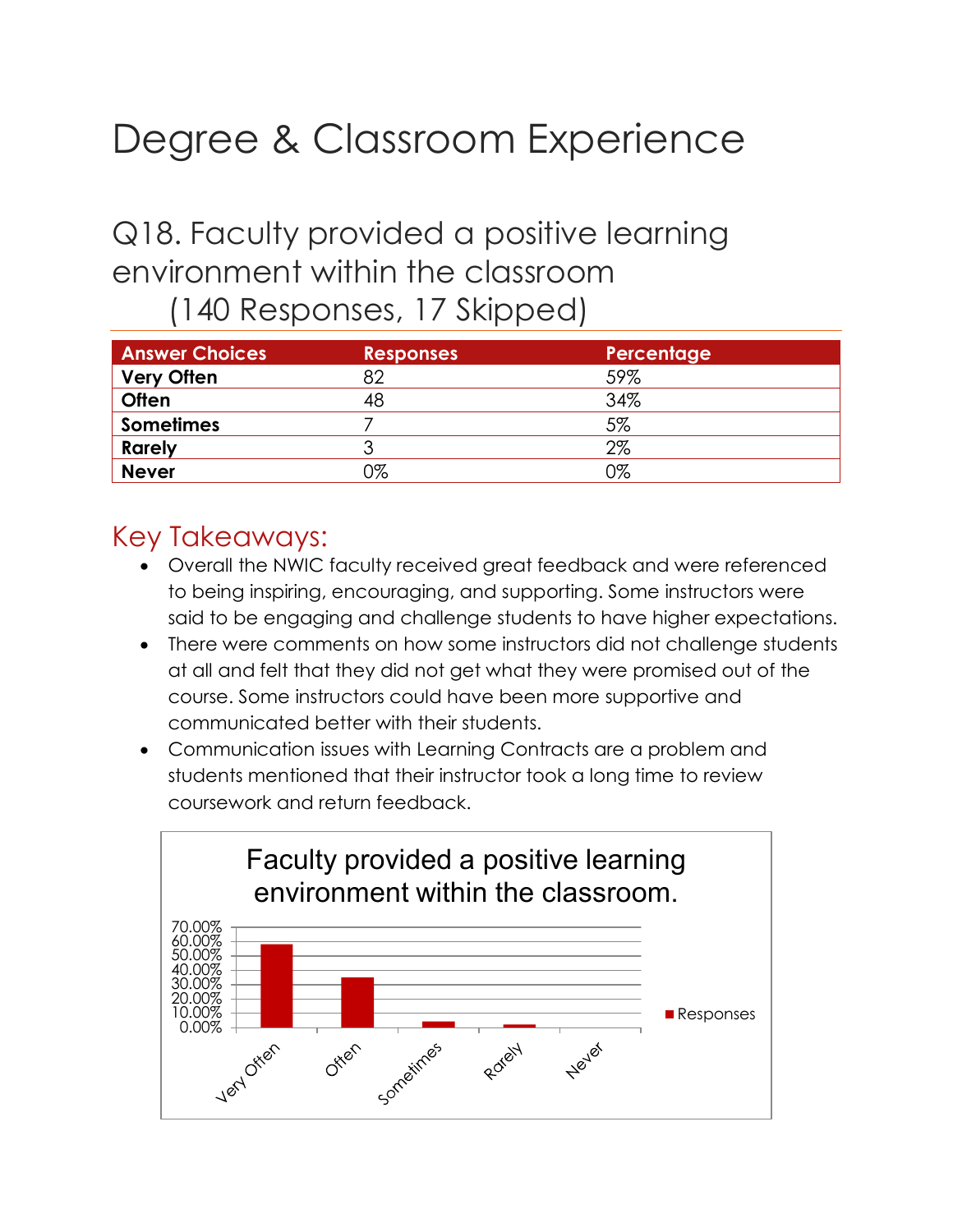# Degree & Classroom Experience

# Q18. Faculty provided a positive learning environment within the classroom

(140 Responses, 17 Skipped)

| <b>Answer Choices</b> | <b>Responses</b> | Percentage |
|-----------------------|------------------|------------|
| <b>Very Often</b>     | 82               | 59%        |
| <b>Often</b>          | 48               | 34%        |
| <b>Sometimes</b>      |                  | 5%         |
| <b>Rarely</b>         | っ                | $2\%$      |
| <b>Never</b>          | 0%               | 0%         |

- Overall the NWIC faculty received great feedback and were referenced to being inspiring, encouraging, and supporting. Some instructors were said to be engaging and challenge students to have higher expectations.
- There were comments on how some instructors did not challenge students at all and felt that they did not get what they were promised out of the course. Some instructors could have been more supportive and communicated better with their students.
- Communication issues with Learning Contracts are a problem and students mentioned that their instructor took a long time to review coursework and return feedback.

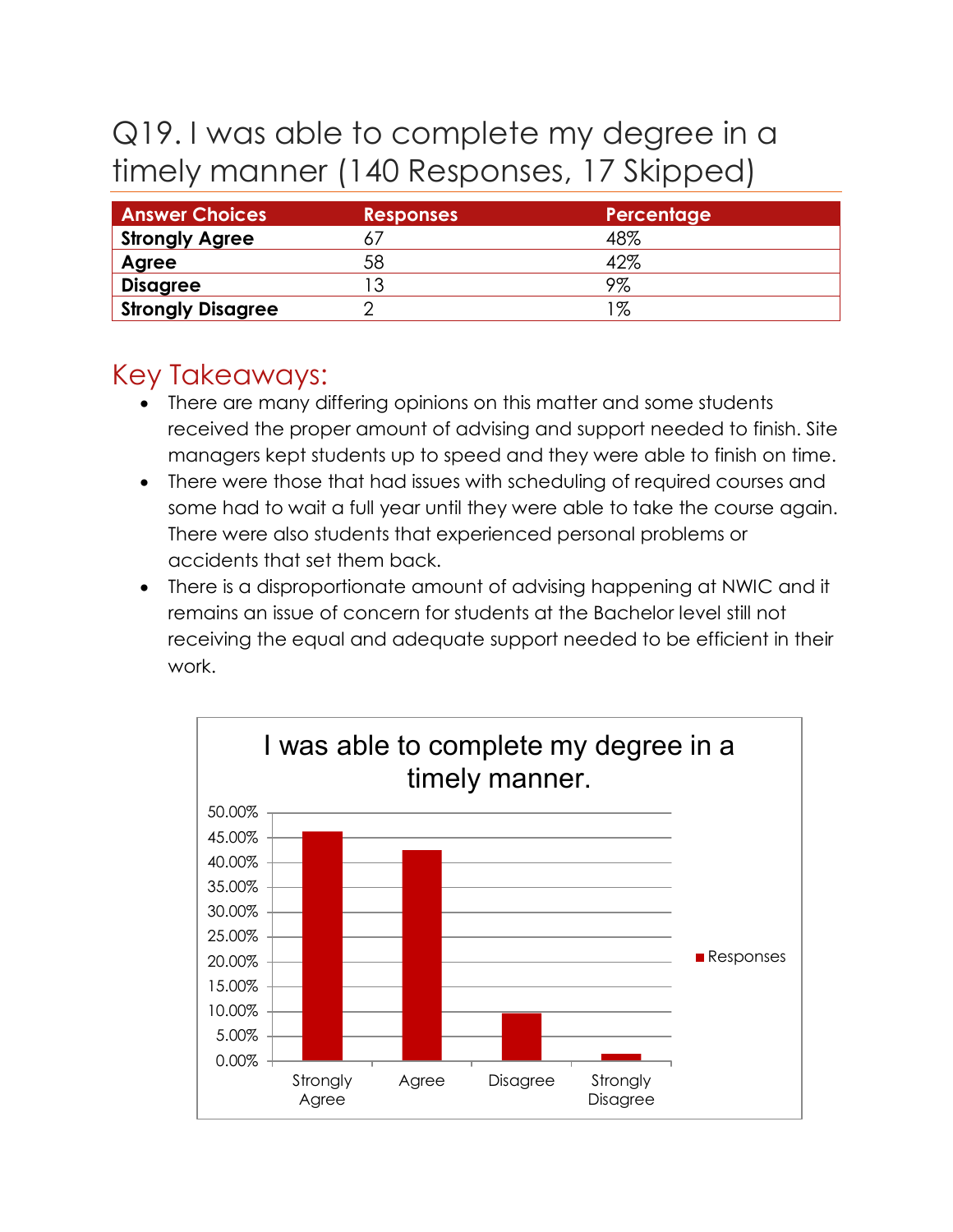# Q19. I was able to complete my degree in a timely manner (140 Responses, 17 Skipped)

| <b>Answer Choices</b>    | <b>Responses</b> | Percentage |
|--------------------------|------------------|------------|
| <b>Strongly Agree</b>    |                  | 48%        |
| Agree                    | 58               | 42%        |
| <b>Disagree</b>          |                  | 9%         |
| <b>Strongly Disagree</b> |                  | %          |

- There are many differing opinions on this matter and some students received the proper amount of advising and support needed to finish. Site managers kept students up to speed and they were able to finish on time.
- There were those that had issues with scheduling of required courses and some had to wait a full year until they were able to take the course again. There were also students that experienced personal problems or accidents that set them back.
- There is a disproportionate amount of advising happening at NWIC and it remains an issue of concern for students at the Bachelor level still not receiving the equal and adequate support needed to be efficient in their work.

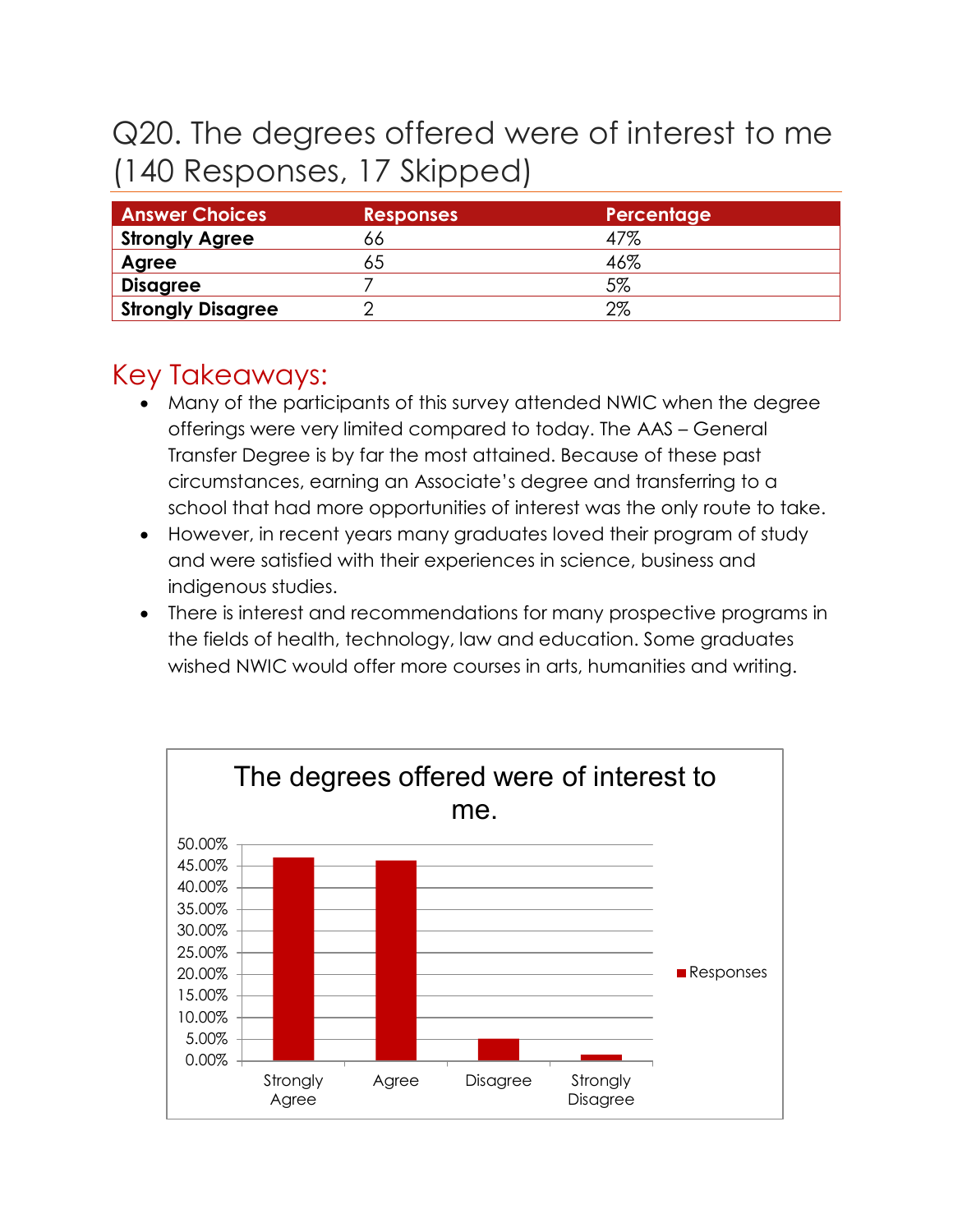# Q20. The degrees offered were of interest to me (140 Responses, 17 Skipped)

| <b>Answer Choices</b>    | <b>Responses</b> | Percentage |
|--------------------------|------------------|------------|
| <b>Strongly Agree</b>    | b6               | 47%        |
| Agree                    | 65               | 46%        |
| <b>Disagree</b>          |                  | 5%         |
| <b>Strongly Disagree</b> |                  | $2\%$      |

- Many of the participants of this survey attended NWIC when the degree offerings were very limited compared to today. The AAS – General Transfer Degree is by far the most attained. Because of these past circumstances, earning an Associate's degree and transferring to a school that had more opportunities of interest was the only route to take.
- However, in recent years many graduates loved their program of study and were satisfied with their experiences in science, business and indigenous studies.
- There is interest and recommendations for many prospective programs in the fields of health, technology, law and education. Some graduates wished NWIC would offer more courses in arts, humanities and writing.

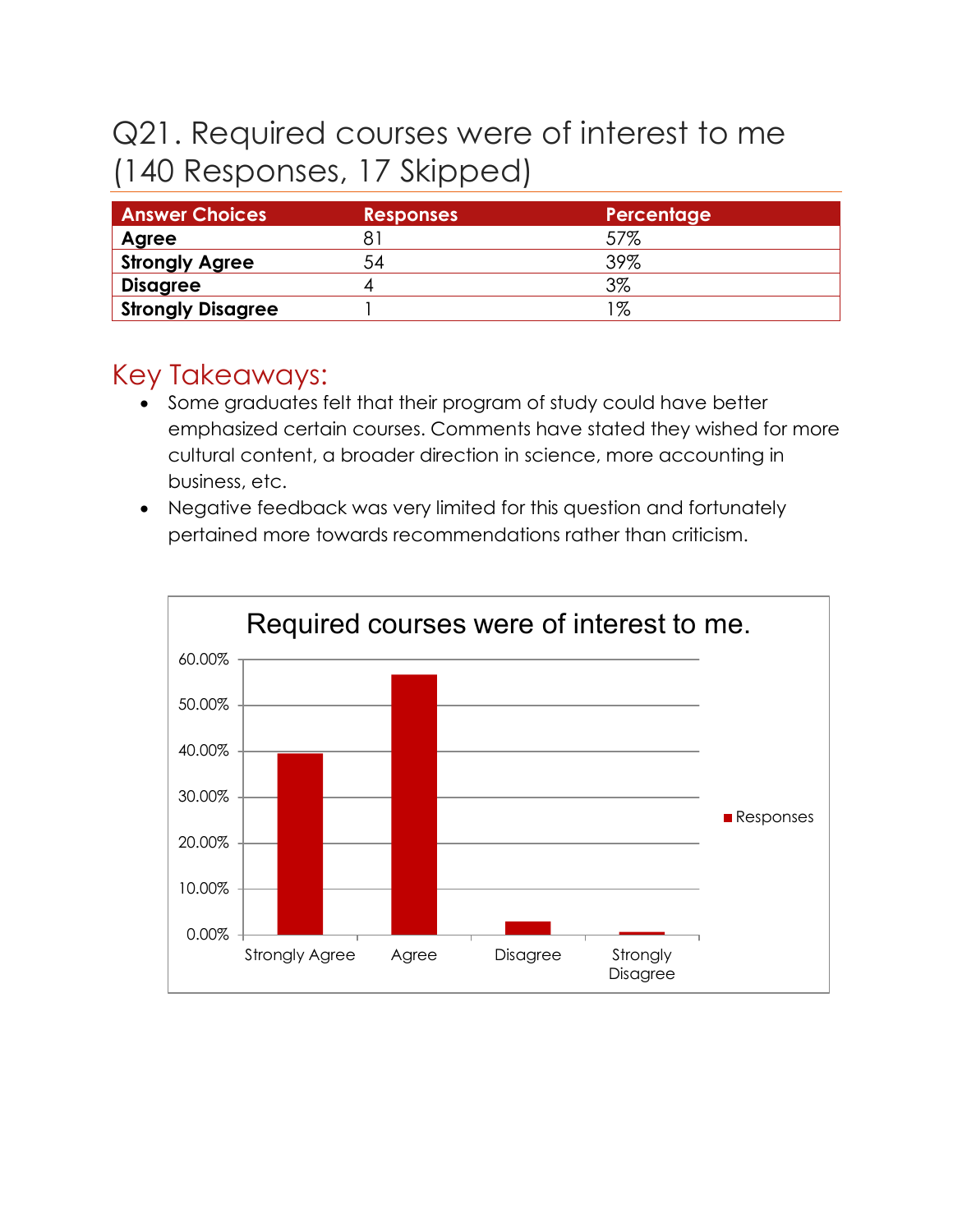# Q21. Required courses were of interest to me (140 Responses, 17 Skipped)

| <b>Answer Choices</b>    | <b>Responses</b> | Percentage |
|--------------------------|------------------|------------|
| Agree                    |                  | 57%        |
| Strongly Agree           | 54               | 39%        |
| <b>Disagree</b>          |                  | 3%         |
| <b>Strongly Disagree</b> |                  | '%         |

- Some graduates felt that their program of study could have better emphasized certain courses. Comments have stated they wished for more cultural content, a broader direction in science, more accounting in business, etc.
- Negative feedback was very limited for this question and fortunately pertained more towards recommendations rather than criticism.

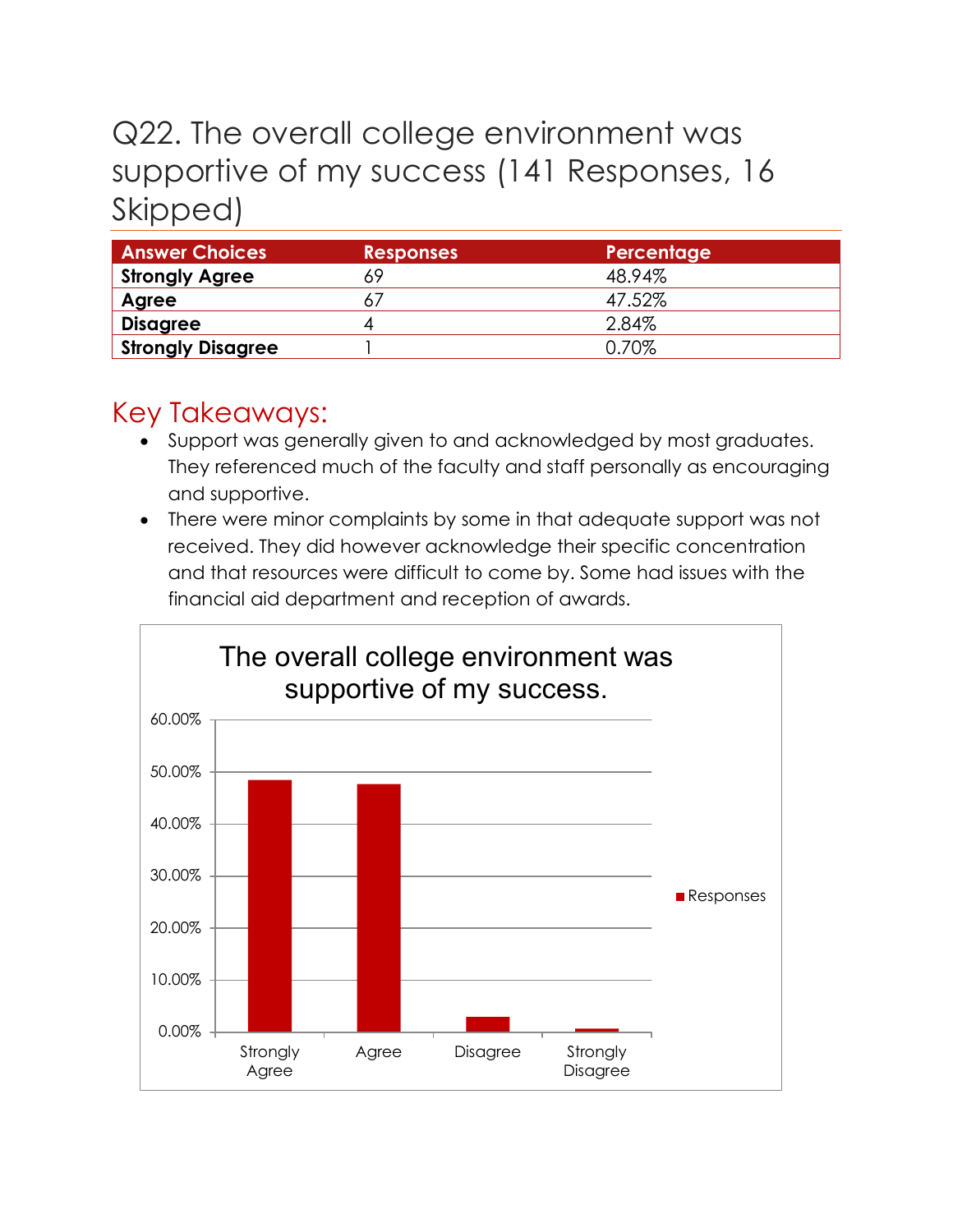# Q22. The overall college environment was supportive of my success (141 Responses, 16 Skipped)

| <b>Answer Choices</b>    | <b>Responses</b> | <b>Percentage</b> |
|--------------------------|------------------|-------------------|
| <b>Strongly Agree</b>    |                  | 48.94%            |
| Agree                    |                  | 47.52%            |
| <b>Disagree</b>          | 4                | 2.84%             |
| <b>Strongly Disagree</b> |                  | 0.70%             |

- Support was generally given to and acknowledged by most graduates. They referenced much of the faculty and staff personally as encouraging and supportive.
- There were minor complaints by some in that adequate support was not received. They did however acknowledge their specific concentration and that resources were difficult to come by. Some had issues with the financial aid department and reception of awards.

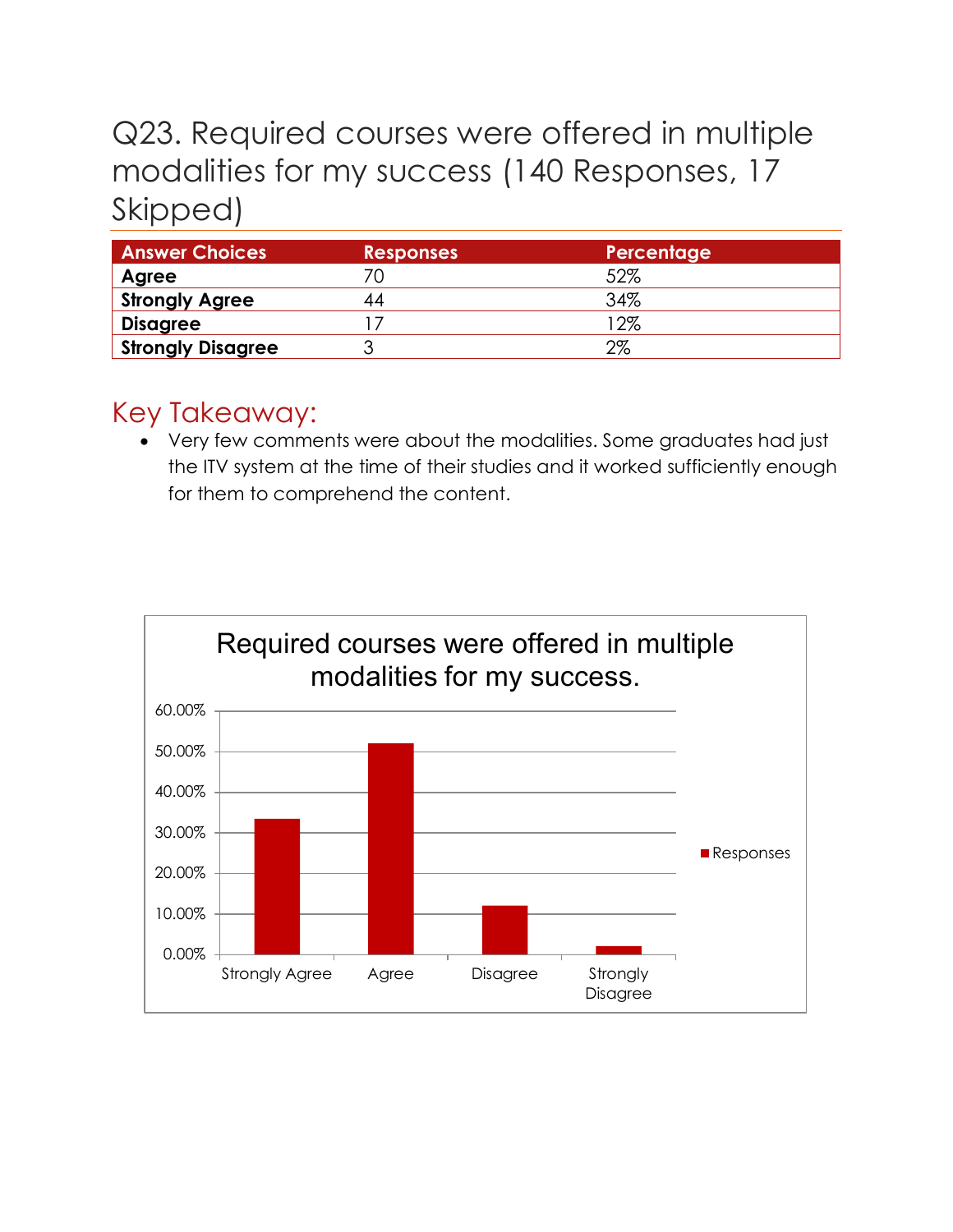# Q23. Required courses were offered in multiple modalities for my success (140 Responses, 17 Skipped)

| <b>Answer Choices</b>    | <b>Responses</b> | Percentage |
|--------------------------|------------------|------------|
| Agree                    |                  | 52%        |
| <b>Strongly Agree</b>    | 44               | 34%        |
| <b>Disagree</b>          |                  | $12\%$     |
| <b>Strongly Disagree</b> |                  | 2%         |

## Key Takeaway:

• Very few comments were about the modalities. Some graduates had just the ITV system at the time of their studies and it worked sufficiently enough for them to comprehend the content.

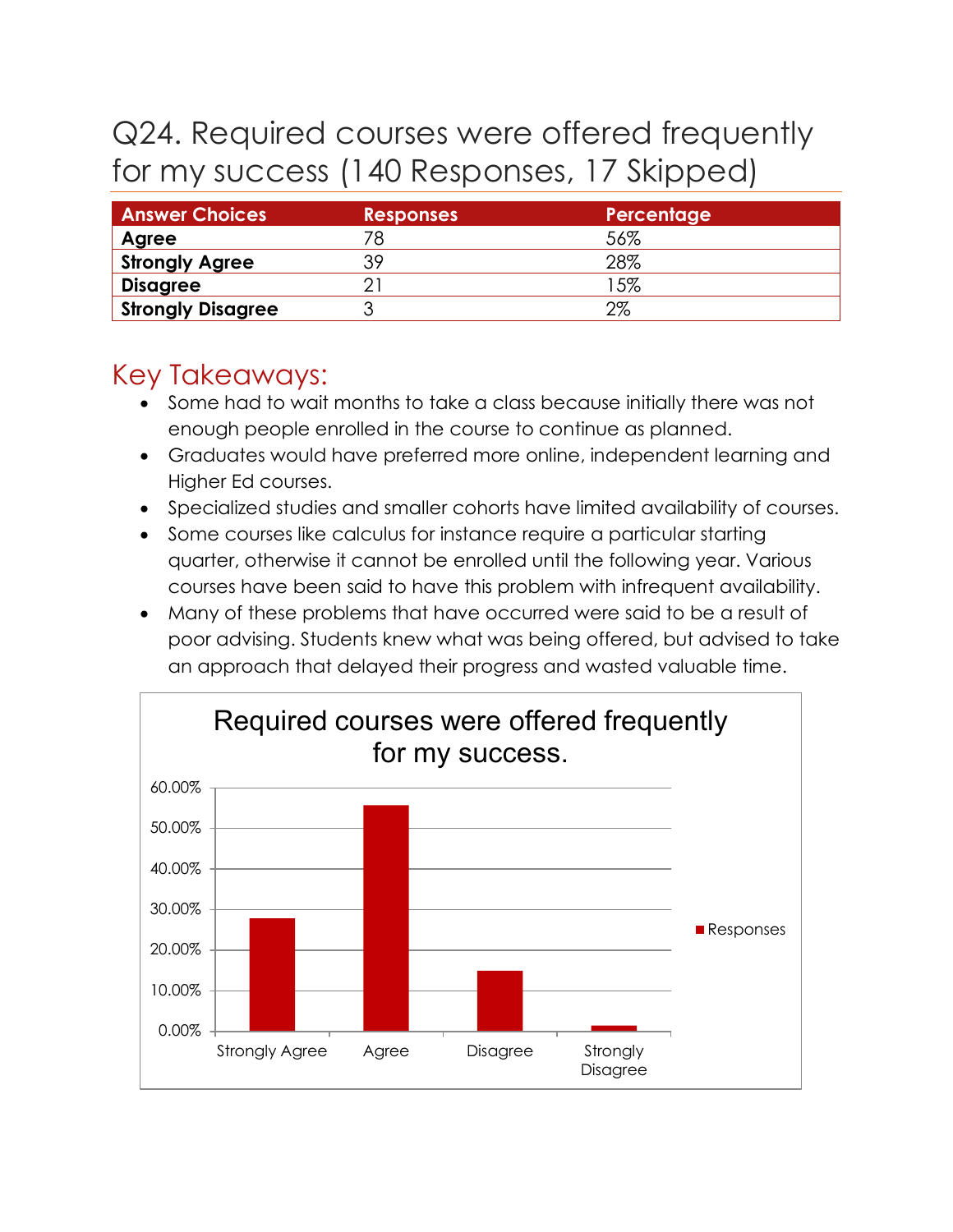# Q24. Required courses were offered frequently for my success (140 Responses, 17 Skipped)

| <b>Answer Choices</b>    | <b>Responses</b> | Percentage |
|--------------------------|------------------|------------|
| Agree                    | 78               | 56%        |
| <b>Strongly Agree</b>    | 39               | 28%        |
| <b>Disagree</b>          |                  | 15%        |
| <b>Strongly Disagree</b> |                  | 2%         |

- Some had to wait months to take a class because initially there was not enough people enrolled in the course to continue as planned.
- Graduates would have preferred more online, independent learning and Higher Ed courses.
- Specialized studies and smaller cohorts have limited availability of courses.
- Some courses like calculus for instance require a particular starting quarter, otherwise it cannot be enrolled until the following year. Various courses have been said to have this problem with infrequent availability.
- Many of these problems that have occurred were said to be a result of poor advising. Students knew what was being offered, but advised to take an approach that delayed their progress and wasted valuable time.

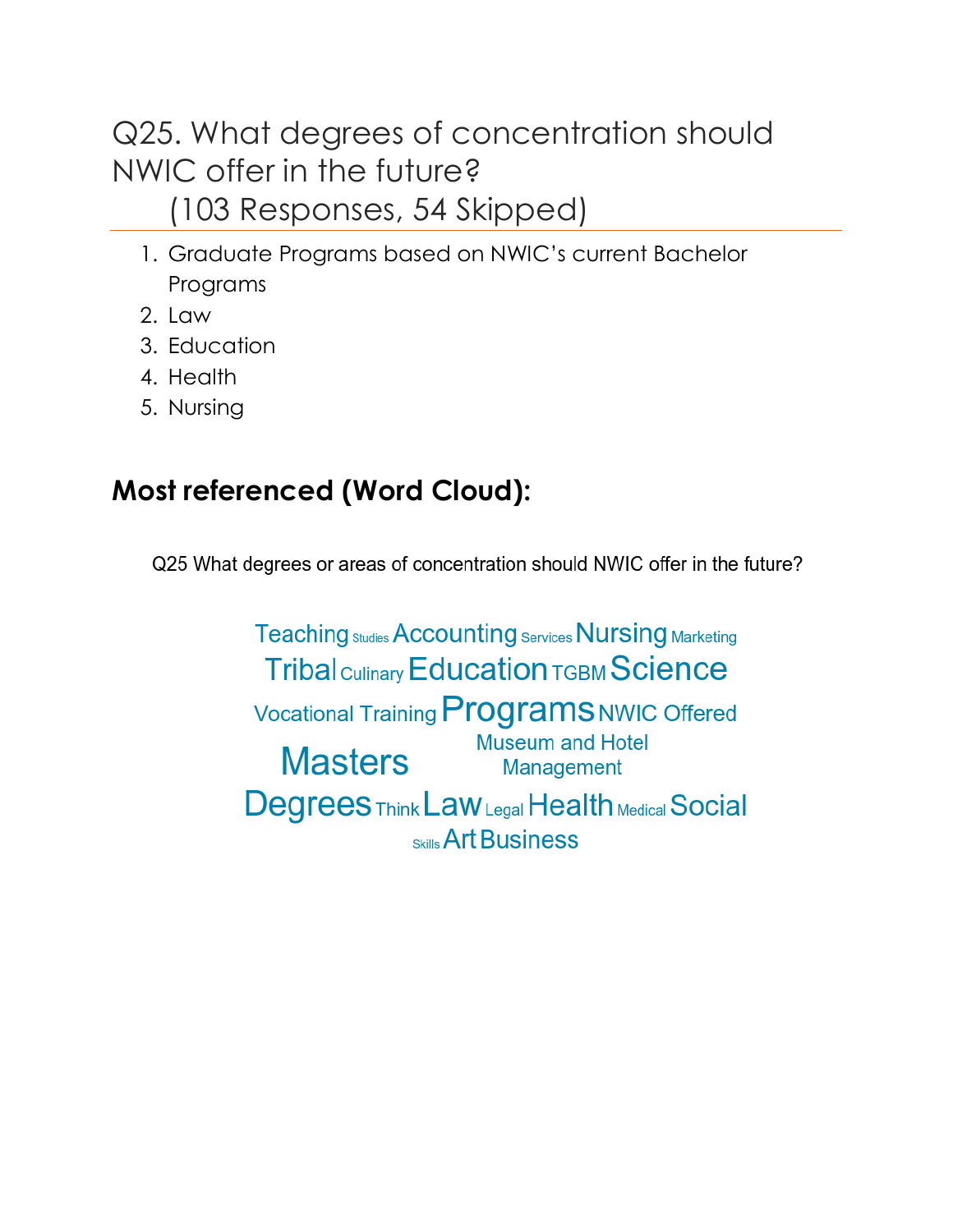Q25. What degrees of concentration should NWIC offer in the future? (103 Responses, 54 Skipped)

- 1. Graduate Programs based on NWIC's current Bachelor Programs
- 2. Law
- 3. Education
- 4. Health
- 5. Nursing

# **Most referenced (Word Cloud):**

Q25 What degrees or areas of concentration should NWIC offer in the future?

**Teaching Studies Accounting Services Nursing Marketing Tribal Culinary Education TGBM Science** Vocational Training Programs NWIC Offered **Museum and Hotel Masters** Management **Degrees Think Law Legal Health Medical Social Skills Art Business**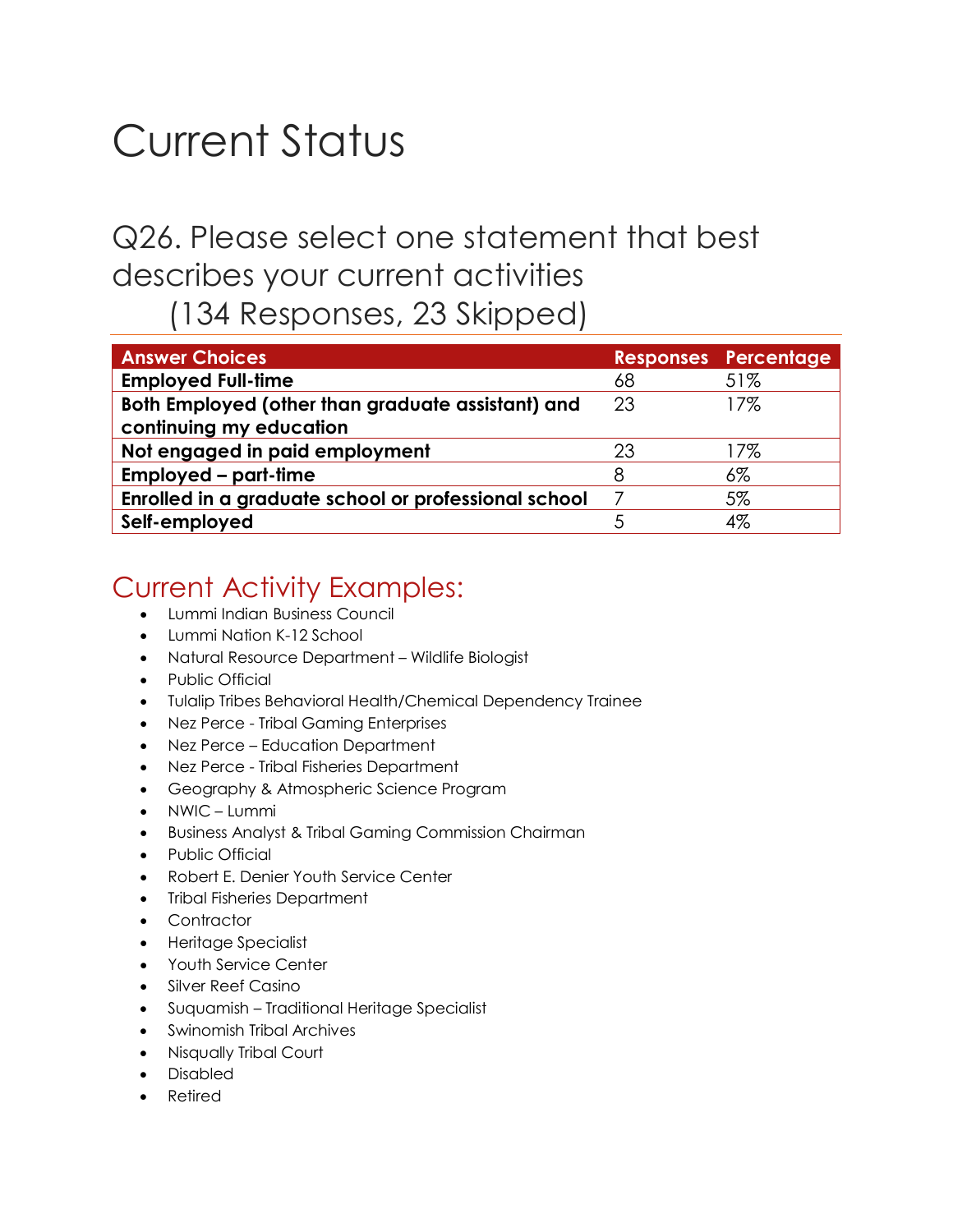# Current Status

# Q26. Please select one statement that best describes your current activities

(134 Responses, 23 Skipped)

| <b>Answer Choices</b>                                |    | <b>Responses Percentage</b> |
|------------------------------------------------------|----|-----------------------------|
| <b>Employed Full-time</b>                            | 68 | 51%                         |
| Both Employed (other than graduate assistant) and    | 23 | 17%                         |
| continuing my education                              |    |                             |
| Not engaged in paid employment                       | 23 | 17%                         |
| <b>Employed – part-time</b>                          | 8  | $6\%$                       |
| Enrolled in a graduate school or professional school |    | 5%                          |
| Self-employed                                        |    | 4%                          |

## Current Activity Examples:

- Lummi Indian Business Council
- Lummi Nation K-12 School
- Natural Resource Department Wildlife Biologist
- Public Official
- Tulalip Tribes Behavioral Health/Chemical Dependency Trainee
- Nez Perce Tribal Gaming Enterprises
- Nez Perce Education Department
- Nez Perce Tribal Fisheries Department
- Geography & Atmospheric Science Program
- NWIC Lummi
- Business Analyst & Tribal Gaming Commission Chairman
- Public Official
- Robert E. Denier Youth Service Center
- Tribal Fisheries Department
- Contractor
- Heritage Specialist
- Youth Service Center
- Silver Reef Casino
- Suquamish Traditional Heritage Specialist
- Swinomish Tribal Archives
- Nisqually Tribal Court
- Disabled
- **Retired**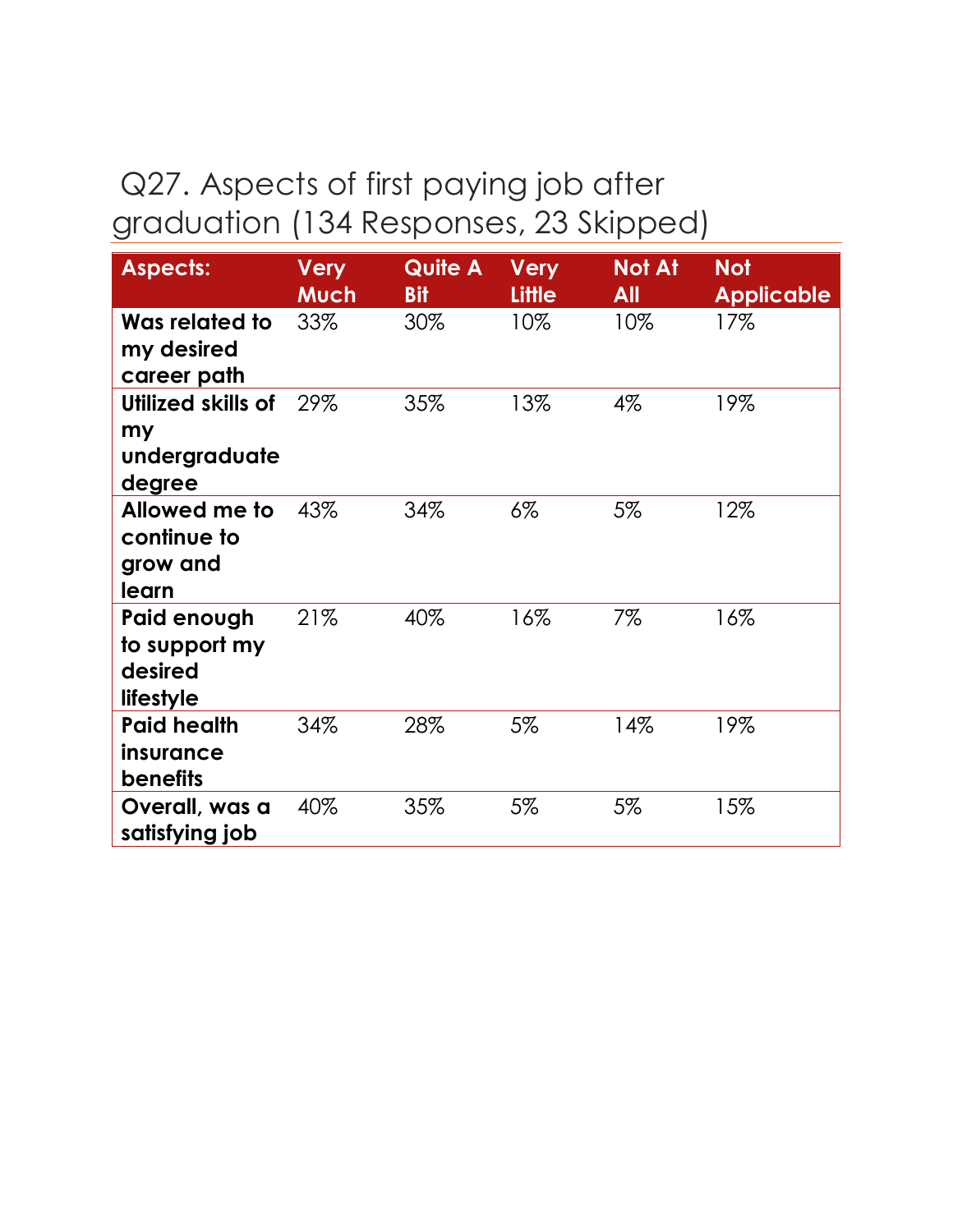## Q27. Aspects of first paying job after graduation (134 Responses, 23 Skipped)

| <b>Aspects:</b>                                      | <b>Very</b><br>Much | <b>Quite A</b><br><b>Bit</b> | <b>Very</b><br><b>Little</b> | <b>Not At</b><br>All | <b>Not</b><br><b>Applicable</b> |
|------------------------------------------------------|---------------------|------------------------------|------------------------------|----------------------|---------------------------------|
| Was related to<br>my desired<br>career path          | 33%                 | 30%                          | 10%                          | 10%                  | 17%                             |
| Utilized skills of<br>my<br>undergraduate<br>degree  | 29%                 | 35%                          | 13%                          | $4\%$                | 19%                             |
| Allowed me to<br>continue to<br>grow and<br>learn    | 43%                 | 34%                          | $6\%$                        | $5\%$                | 12%                             |
| Paid enough<br>to support my<br>desired<br>lifestyle | 21%                 | 40%                          | 16%                          | $7\%$                | 16%                             |
| <b>Paid health</b><br>insurance<br><b>benefits</b>   | 34%                 | 28%                          | 5%                           | 14%                  | 19%                             |
| Overall, was a<br>satisfying job                     | 40%                 | 35%                          | 5%                           | 5%                   | 15%                             |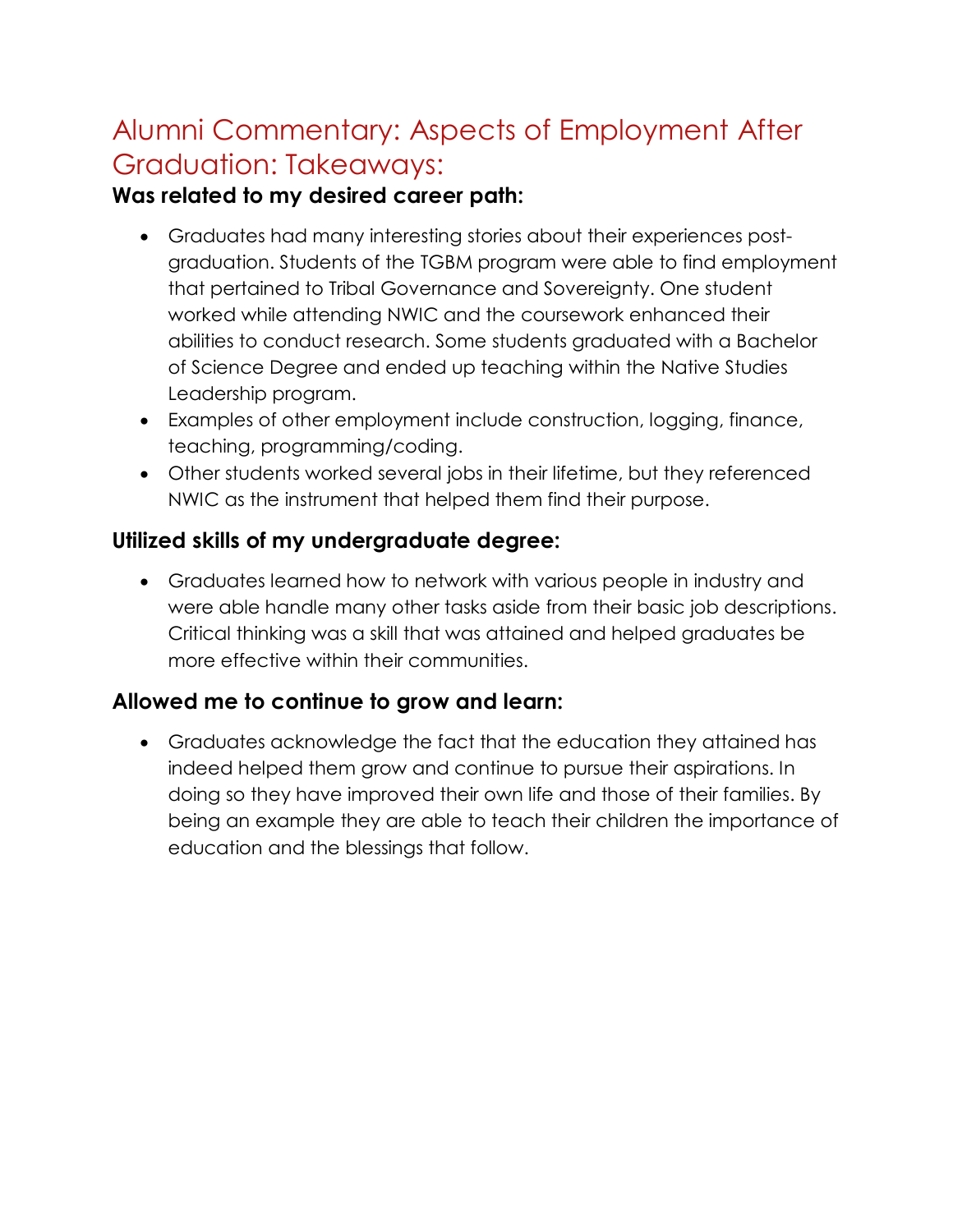## Alumni Commentary: Aspects of Employment After Graduation: Takeaways:

#### **Was related to my desired career path:**

- Graduates had many interesting stories about their experiences postgraduation. Students of the TGBM program were able to find employment that pertained to Tribal Governance and Sovereignty. One student worked while attending NWIC and the coursework enhanced their abilities to conduct research. Some students graduated with a Bachelor of Science Degree and ended up teaching within the Native Studies Leadership program.
- Examples of other employment include construction, logging, finance, teaching, programming/coding.
- Other students worked several jobs in their lifetime, but they referenced NWIC as the instrument that helped them find their purpose.

#### **Utilized skills of my undergraduate degree:**

• Graduates learned how to network with various people in industry and were able handle many other tasks aside from their basic job descriptions. Critical thinking was a skill that was attained and helped graduates be more effective within their communities.

#### **Allowed me to continue to grow and learn:**

• Graduates acknowledge the fact that the education they attained has indeed helped them grow and continue to pursue their aspirations. In doing so they have improved their own life and those of their families. By being an example they are able to teach their children the importance of education and the blessings that follow.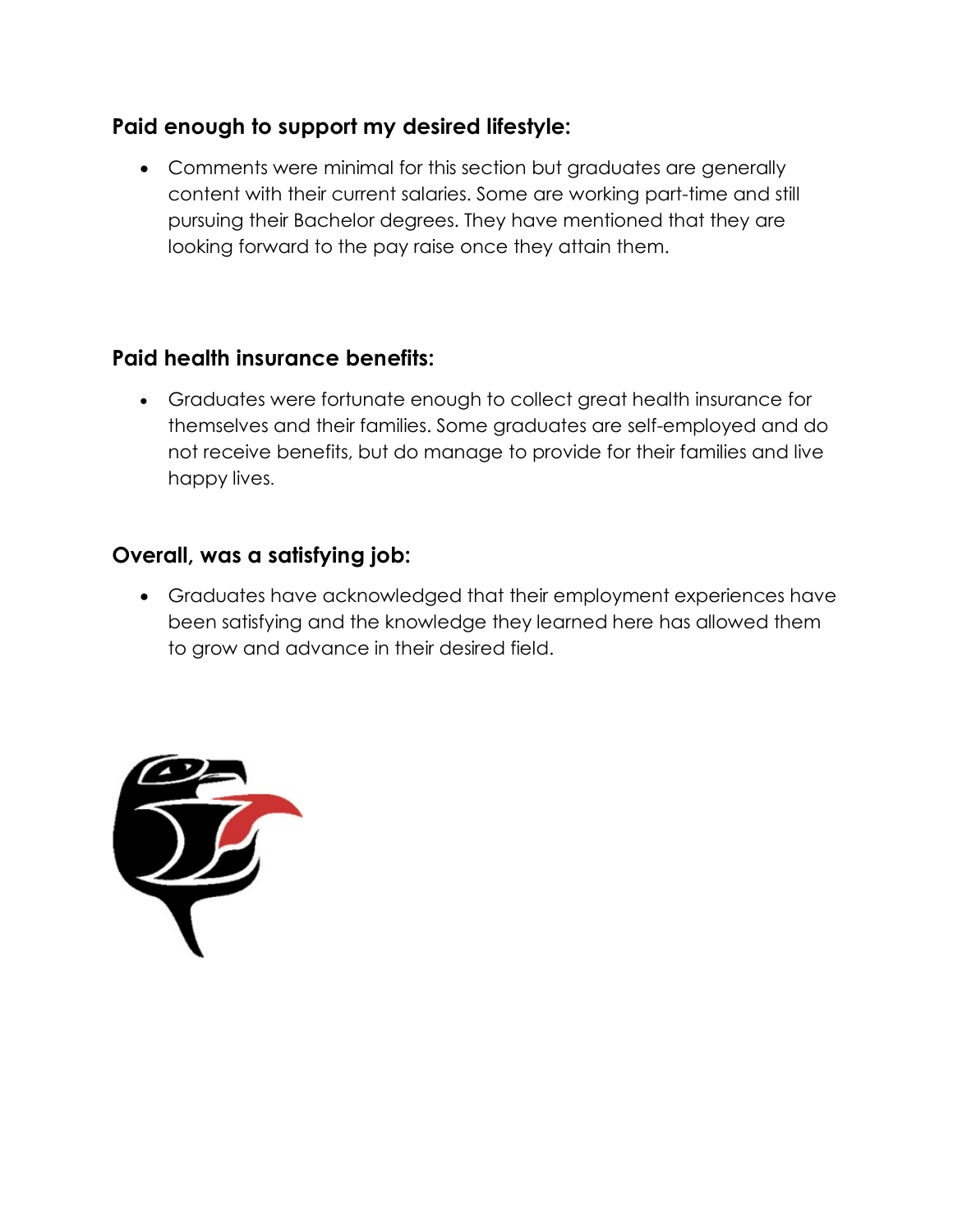#### **Paid enough to support my desired lifestyle:**

• Comments were minimal for this section but graduates are generally content with their current salaries. Some are working part-time and still pursuing their Bachelor degrees. They have mentioned that they are looking forward to the pay raise once they attain them.

#### **Paid health insurance benefits:**

• Graduates were fortunate enough to collect great health insurance for themselves and their families. Some graduates are self-employed and do not receive benefits, but do manage to provide for their families and live happy lives.

#### **Overall, was a satisfying job:**

• Graduates have acknowledged that their employment experiences have been satisfying and the knowledge they learned here has allowed them to grow and advance in their desired field.

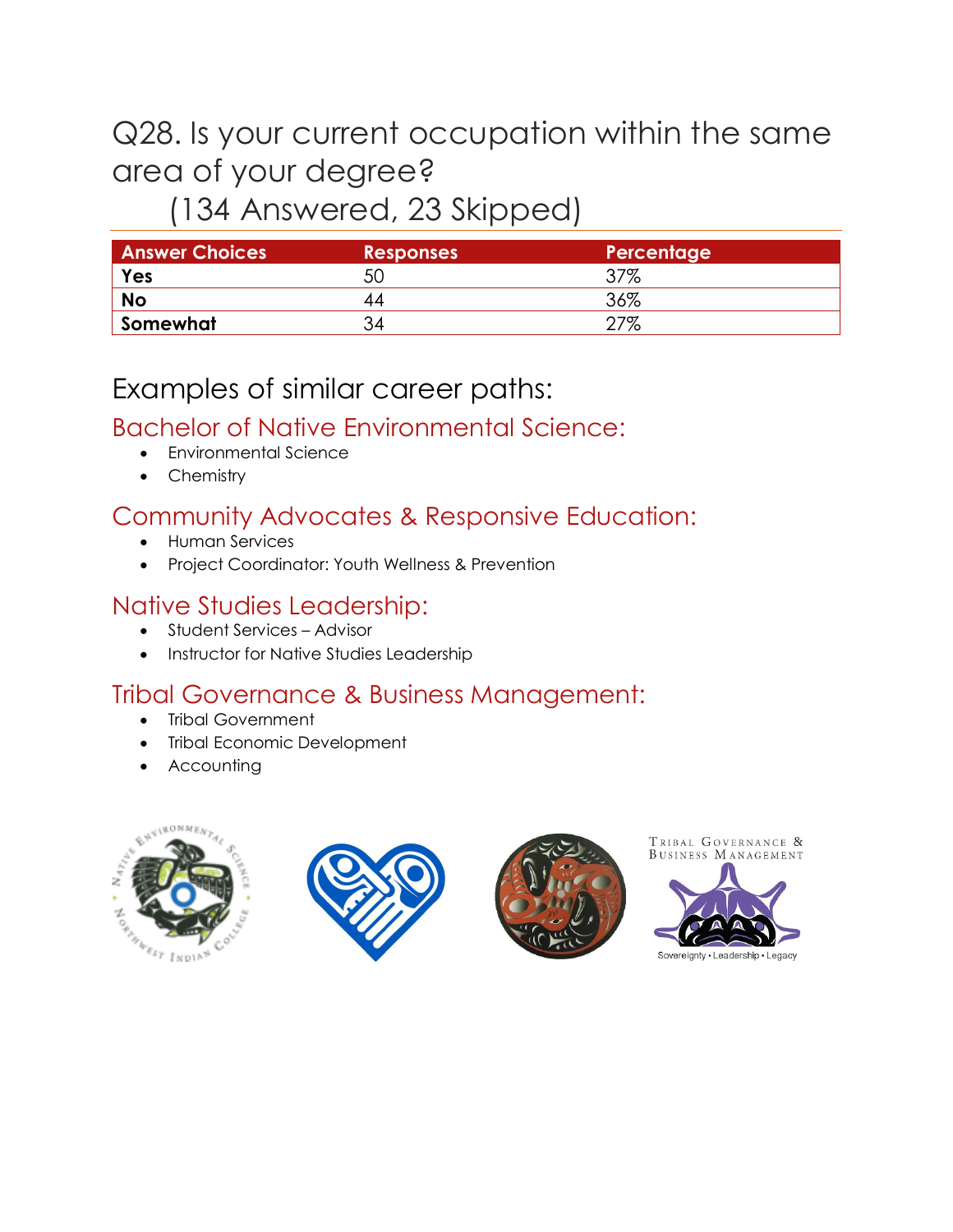# Q28. Is your current occupation within the same area of your degree?

## (134 Answered, 23 Skipped)

| <b>Answer Choices</b> | <b>Responses</b> | Percentage |
|-----------------------|------------------|------------|
| Yes                   | 50               | ነ7%        |
| <b>No</b>             |                  | 36%        |
| Somewhat              |                  | 7%         |

## Examples of similar career paths:

#### Bachelor of Native Environmental Science:

- Environmental Science
- Chemistry

#### Community Advocates & Responsive Education:

- Human Services
- Project Coordinator: Youth Wellness & Prevention

#### Native Studies Leadership:

- Student Services Advisor
- Instructor for Native Studies Leadership

#### Tribal Governance & Business Management:

- Tribal Government
- **Tribal Economic Development**
- Accounting









Sovereignty · Leadership · Legacy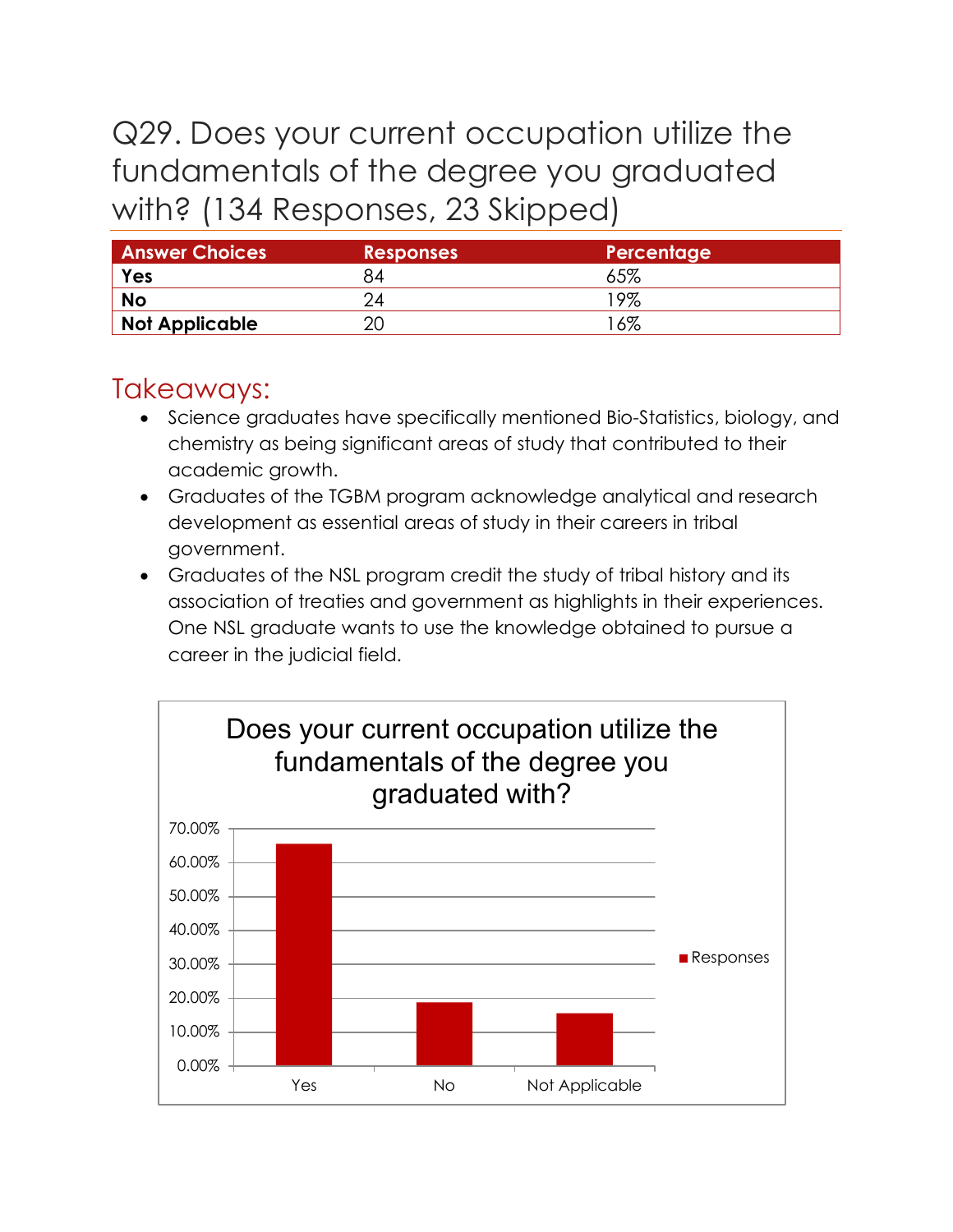## Q29. Does your current occupation utilize the fundamentals of the degree you graduated with? (134 Responses, 23 Skipped)

| <b>Answer Choices</b> | <b>Responses</b> | Percentage |
|-----------------------|------------------|------------|
| Yes                   |                  | 65%        |
| <b>No</b>             |                  | '9%        |
| Not Applicable        |                  | $6\%$      |

## Takeaways:

- Science graduates have specifically mentioned Bio-Statistics, biology, and chemistry as being significant areas of study that contributed to their academic growth.
- Graduates of the TGBM program acknowledge analytical and research development as essential areas of study in their careers in tribal government.
- Graduates of the NSL program credit the study of tribal history and its association of treaties and government as highlights in their experiences. One NSL graduate wants to use the knowledge obtained to pursue a career in the judicial field.

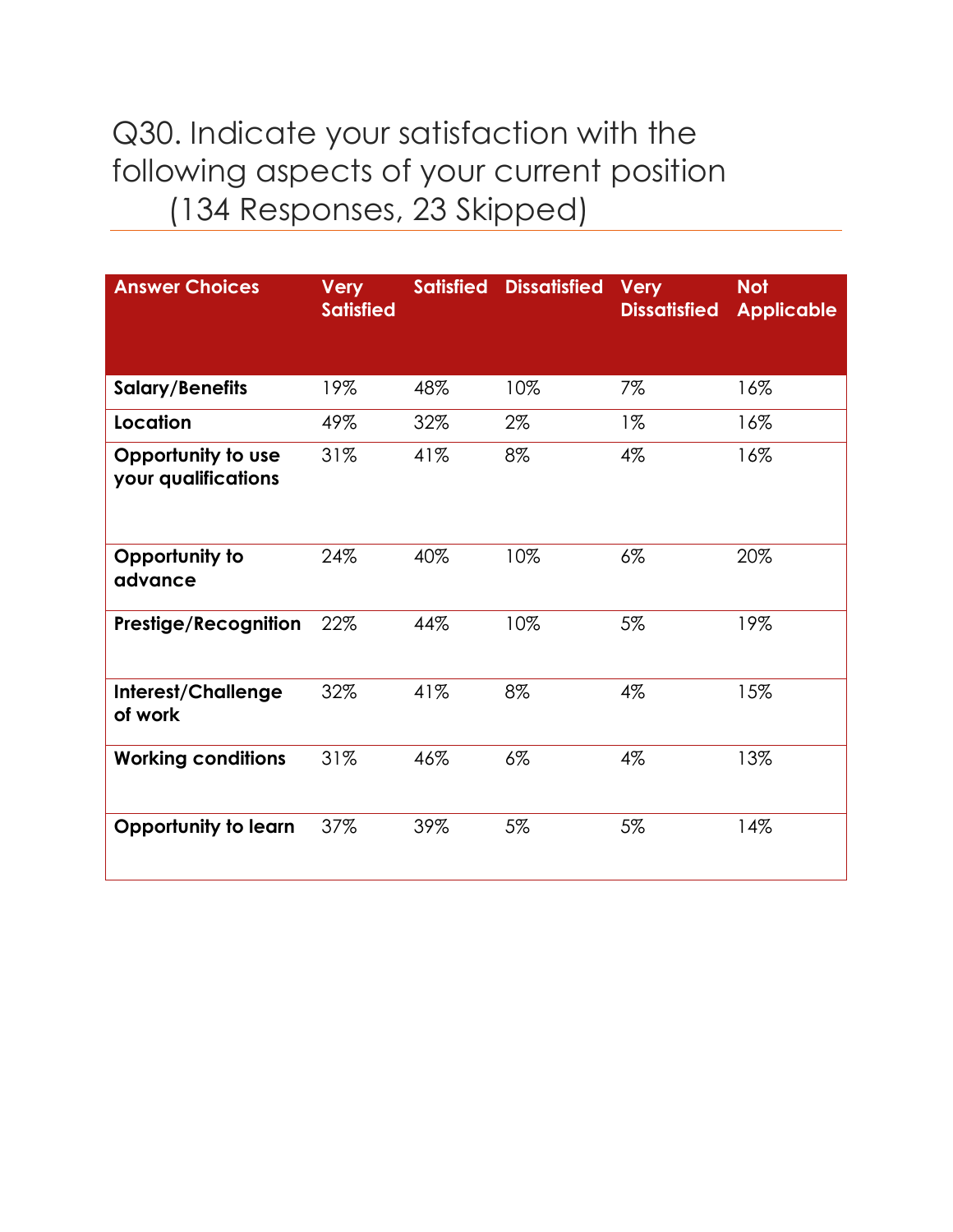## Q30. Indicate your satisfaction with the following aspects of your current position (134 Responses, 23 Skipped)

| <b>Answer Choices</b>                     | <b>Very</b><br><b>Satisfied</b> | <b>Satisfied</b> | <b>Dissatisfied</b> | <b>Very</b><br><b>Dissatisfied</b> | <b>Not</b><br><b>Applicable</b> |
|-------------------------------------------|---------------------------------|------------------|---------------------|------------------------------------|---------------------------------|
| <b>Salary/Benefits</b>                    | 19%                             | 48%              | 10%                 | 7%                                 | 16%                             |
| Location                                  | 49%                             | 32%              | 2%                  | $1\%$                              | 16%                             |
| Opportunity to use<br>your qualifications | 31%                             | 41%              | 8%                  | $4\%$                              | 16%                             |
| Opportunity to<br>advance                 | 24%                             | 40%              | 10%                 | $6\%$                              | 20%                             |
| <b>Prestige/Recognition</b>               | 22%                             | 44%              | 10%                 | 5%                                 | 19%                             |
| Interest/Challenge<br>of work             | 32%                             | 41%              | 8%                  | 4%                                 | 15%                             |
| <b>Working conditions</b>                 | 31%                             | 46%              | $6\%$               | $4\%$                              | 13%                             |
| <b>Opportunity to learn</b>               | 37%                             | 39%              | 5%                  | 5%                                 | 14%                             |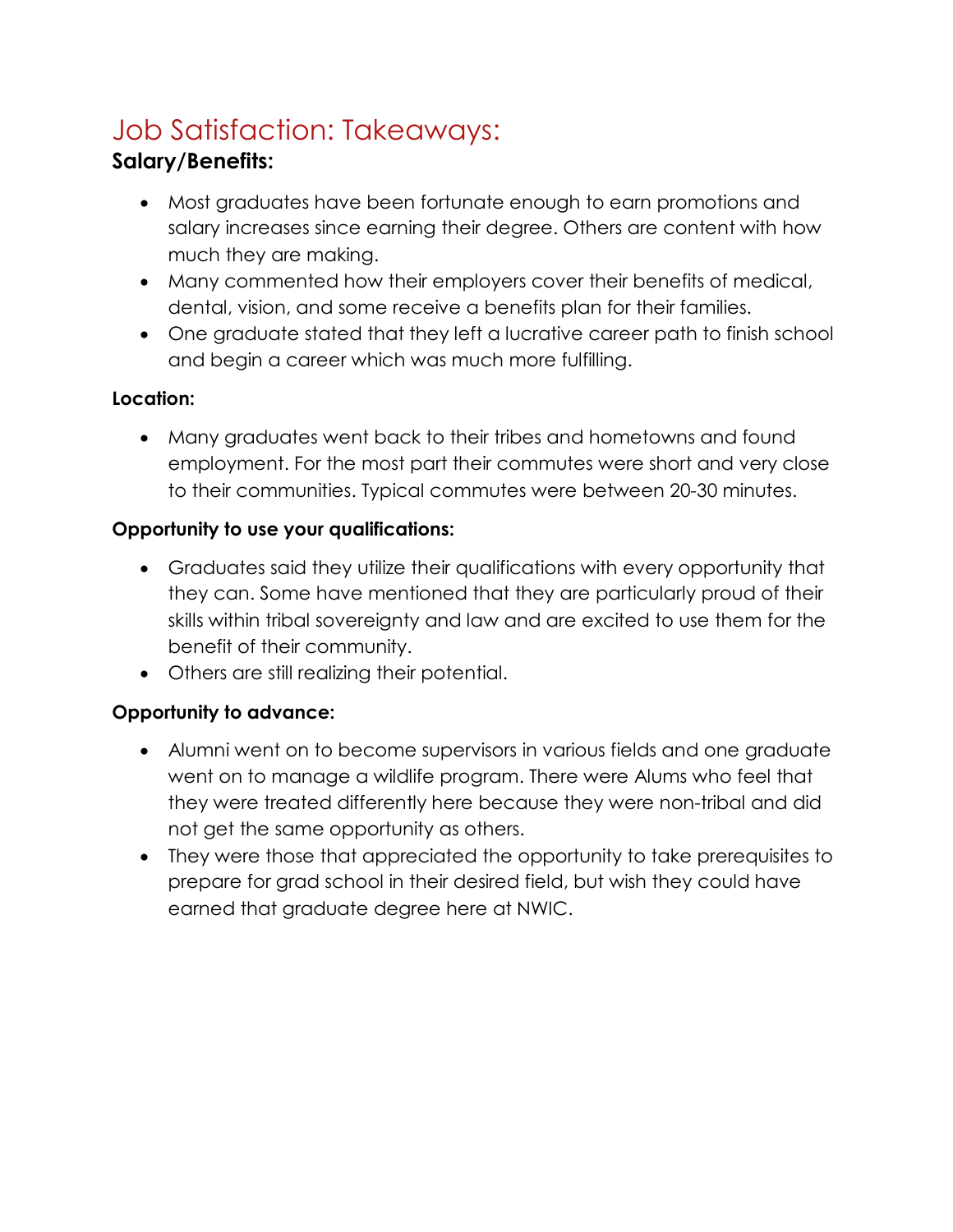# Job Satisfaction: Takeaways:

#### **Salary/Benefits:**

- Most graduates have been fortunate enough to earn promotions and salary increases since earning their degree. Others are content with how much they are making.
- Many commented how their employers cover their benefits of medical, dental, vision, and some receive a benefits plan for their families.
- One graduate stated that they left a lucrative career path to finish school and begin a career which was much more fulfilling.

#### **Location:**

• Many graduates went back to their tribes and hometowns and found employment. For the most part their commutes were short and very close to their communities. Typical commutes were between 20-30 minutes.

#### **Opportunity to use your qualifications:**

- Graduates said they utilize their qualifications with every opportunity that they can. Some have mentioned that they are particularly proud of their skills within tribal sovereignty and law and are excited to use them for the benefit of their community.
- Others are still realizing their potential.

#### **Opportunity to advance:**

- Alumni went on to become supervisors in various fields and one graduate went on to manage a wildlife program. There were Alums who feel that they were treated differently here because they were non-tribal and did not get the same opportunity as others.
- They were those that appreciated the opportunity to take prerequisites to prepare for grad school in their desired field, but wish they could have earned that graduate degree here at NWIC.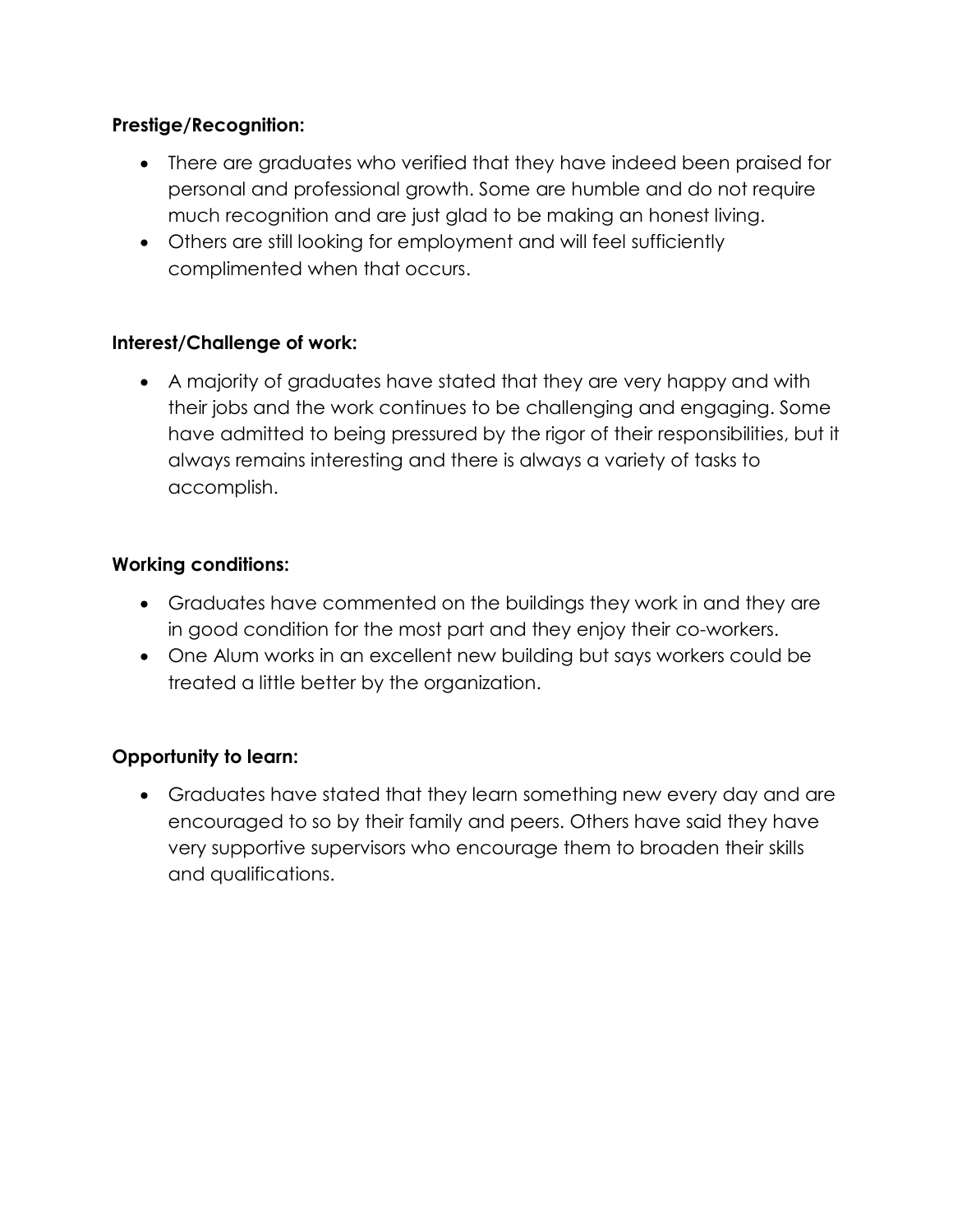#### **Prestige/Recognition:**

- There are graduates who verified that they have indeed been praised for personal and professional growth. Some are humble and do not require much recognition and are just glad to be making an honest living.
- Others are still looking for employment and will feel sufficiently complimented when that occurs.

#### **Interest/Challenge of work:**

• A majority of graduates have stated that they are very happy and with their jobs and the work continues to be challenging and engaging. Some have admitted to being pressured by the rigor of their responsibilities, but it always remains interesting and there is always a variety of tasks to accomplish.

#### **Working conditions:**

- Graduates have commented on the buildings they work in and they are in good condition for the most part and they enjoy their co-workers.
- One Alum works in an excellent new building but says workers could be treated a little better by the organization.

#### **Opportunity to learn:**

• Graduates have stated that they learn something new every day and are encouraged to so by their family and peers. Others have said they have very supportive supervisors who encourage them to broaden their skills and qualifications.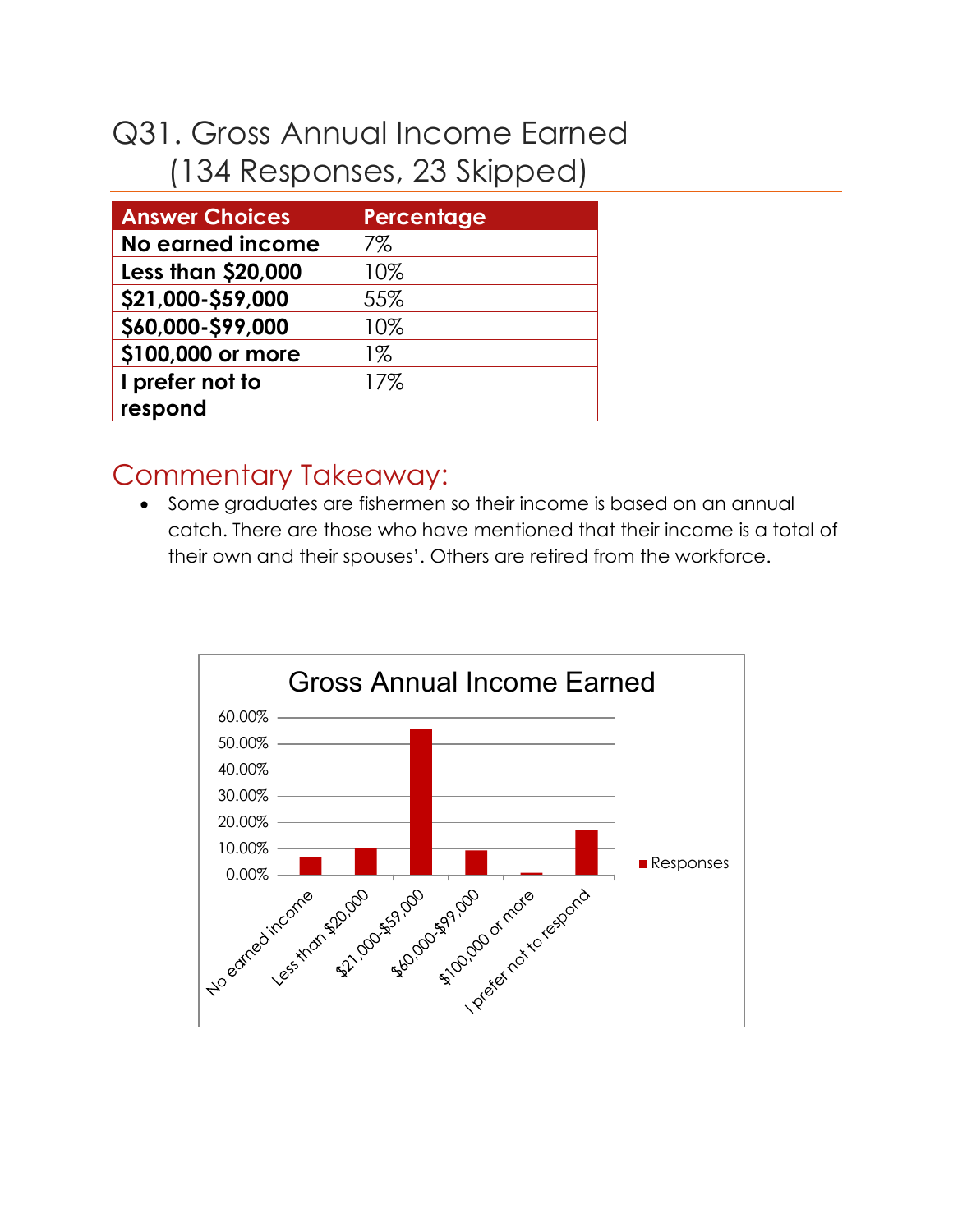# Q31. Gross Annual Income Earned (134 Responses, 23 Skipped)

| <b>Answer Choices</b>     | Percentage |
|---------------------------|------------|
| <b>No earned income</b>   | 7%         |
| <b>Less than \$20,000</b> | 10%        |
| \$21,000-\$59,000         | 55%        |
| \$60,000-\$99,000         | 10%        |
| \$100,000 or more         | 1%         |
| I prefer not to           | 17%        |
| respond                   |            |

## Commentary Takeaway:

• Some graduates are fishermen so their income is based on an annual catch. There are those who have mentioned that their income is a total of their own and their spouses'. Others are retired from the workforce.